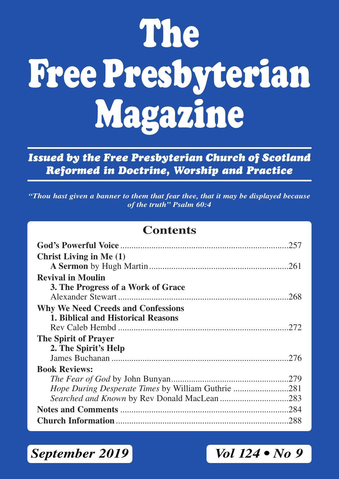# **The Free Presbyterian Magazine**

*Issued by the Free Presbyterian Church of Scotland Reformed in Doctrine, Worship and Practice*

*"Thou hast given a banner to them that fear thee, that it may be displayed because of the truth" Psalm 60:4*

# **Contents**

| 257                                                |  |
|----------------------------------------------------|--|
| <b>Christ Living in Me (1)</b>                     |  |
|                                                    |  |
| <b>Revival in Moulin</b>                           |  |
| 3. The Progress of a Work of Grace                 |  |
|                                                    |  |
| <b>Why We Need Creeds and Confessions</b>          |  |
| 1. Biblical and Historical Reasons                 |  |
|                                                    |  |
| The Spirit of Prayer                               |  |
| 2. The Spirit's Help                               |  |
|                                                    |  |
| <b>Book Reviews:</b>                               |  |
|                                                    |  |
| Hope During Desperate Times by William Guthrie 281 |  |
| Searched and Known by Rev Donald MacLean 283       |  |
|                                                    |  |
|                                                    |  |

*September 2019 Vol 124 • No 9*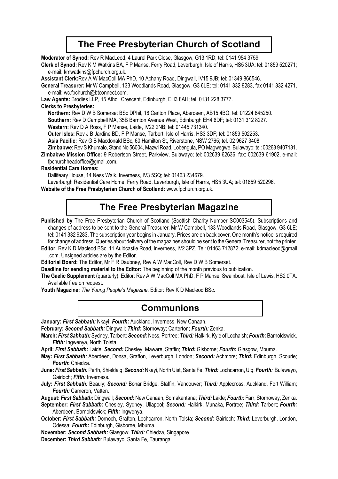## **The Free Presbyterian Church of Scotland**

**Moderator of Synod:** Rev R MacLeod, 4 Laurel Park Close, Glasgow, G13 1RD; tel: 0141 954 3759.

**Clerk of Synod:** Rev K M Watkins BA, F P Manse, Ferry Road, Leverburgh, Isle of Harris, HS5 3UA; tel: 01859 520271; e-mail: kmwatkins@fpchurch.org.uk.

**Assistant Clerk:**Rev A W MacColl MA PhD, 10 Achany Road, Dingwall, IV15 9JB; tel: 01349 866546.

**General Treasurer:** Mr W Campbell, 133 Woodlands Road, Glasgow, G3 6LE; tel: 0141 332 9283, fax 0141 332 4271, e-mail: wc.fpchurch@btconnect.com.

**Law Agents:** Brodies LLP, 15 Atholl Crescent, Edinburgh, EH3 8AH; tel: 0131 228 3777.

#### **Clerks to Presbyteries:**

**Northern:** Rev D W B Somerset BSc DPhil, 18 Carlton Place, Aberdeen, AB15 4BQ; tel: 01224 645250.

**Southern:** Rev D Campbell MA, 35B Barnton Avenue West, Edinburgh EH4 6DF; tel: 0131 312 8227.

**Western:** Rev D A Ross, F P Manse, Laide, IV22 2NB; tel: 01445 731340.

**Outer lsles:** Rev J B Jardine BD, F P Manse, Tarbert, Isle of Harris, HS3 3DF; tel: 01859 502253.

**Asia Pacific:** Rev G B Macdonald BSc, 60 Hamilton St, Riverstone, NSW 2765; tel. 02 9627 3408.

**Zimbabwe**: Rev S Khumalo, Stand No 56004, Mazwi Road, Lobengula, PO Magwegwe, Bulawayo; tel: 00263 9407131.

**Zimbabwe Mission Office:** 9 Robertson Street, Parkview, Bulawayo; tel: 002639 62636, fax: 002639 61902, e-mail: fpchurchheadoffice@gmail.com.

#### **Residential Care Homes:**

Ballifeary House, 14 Ness Walk, Inverness, IV3 5SQ; tel: 01463 234679.

Leverburgh Residential Care Home, Ferry Road, Leverburgh, Isle of Harris, HS5 3UA; tel: 01859 520296.

**Website of the Free Presbyterian Church of Scotland:** www.fpchurch.org.uk.

## **The Free Presbyterian Magazine**

Published by The Free Presbyterian Church of Scotland (Scottish Charity Number SC003545). Subscriptions and changes of address to be sent to the General Treasurer, Mr W Campbell, 133 Woodlands Road, Glasgow, G3 6LE; tel: 0141 332 9283. The subscription year begins in January. Prices are on back cover. One month's notice is required for change of address. Queries about delivery of the magazines should be sent to the General Treasurer, not the printer.

**Editor:** Rev K D Macleod BSc, 11 Auldcastle Road, Inverness, IV2 3PZ. Tel: 01463 712872; e-mail: kdmacleod@gmail .com. Unsigned articles are by the Editor.

**Editorial Board:** The Editor, Mr F R Daubney, Rev A W MacColl, Rev D W B Somerset.

**Deadline for sending material to the Editor:** The beginning of the month previous to publication.

**The Gaelic Supplement** (quarterly): Editor: Rev A W MacColl MA PhD, F P Manse, Swainbost, Isle of Lewis, HS2 0TA. Available free on request.

**Youth Magazine:** *The Young People's Magazine*. Editor: Rev K D Macleod BSc.

## **Communions**

**January:** *First Sabbath:* Nkayi; *Fourth:* Auckland, Inverness, New Canaan.

**February:** *Second Sabbath:* Dingwall; *Third:* Stornoway; Carterton; *Fourth:* Zenka.

**March:** *First Sabbath:* Sydney, Tarbert; *Second:* Ness, Portree; *Third:* Halkirk, Kyle of Lochalsh; *Fourth:* Barnoldswick, *Fifth:* Ingwenya, North Tolsta.

**April:** *First Sabbath:* Laide; *Second:* Chesley, Maware, Staffin; *Third:* Gisborne; *Fourth***:** Glasgow, Mbuma.

- **May:** *First Sabbath:* Aberdeen, Donsa, Grafton, Leverburgh, London; *Second:* Achmore; *Third:* Edinburgh, Scourie; *Fourth***:** Chiedza.
- **June:** *First Sabbath:* Perth, Shieldaig; *Second:* Nkayi, North Uist, Santa Fe; *Third:* Lochcarron, Uig; *Fourth:* Bulawayo, Gairloch; *Fifth:* Inverness.
- **July:** *First Sabbath:* Beauly; *Second:* Bonar Bridge, Staffin, Vancouver; *Third:* Applecross, Auckland, Fort William; *Fourth:* Cameron, Vatten.

**August:** *First Sabbath:* Dingwall; *Second:* New Canaan, Somakantana; *Third:* Laide; *Fourth:* Farr, Stornoway, Zenka.

**September:** *First Sabbath:* Chesley, Sydney, Ullapool; *Second:* Halkirk, Munaka, Portree; *Third:* Tarbert; *Fourth:* Aberdeen, Barnoldswick; *Fifth:* Ingwenya.

**October:** *First Sabbath:* Dornoch, Grafton, Lochcarron, North Tolsta; *Second:* Gairloch; *Third:* Leverburgh, London, Odessa; *Fourth:* Edinburgh, Gisborne, Mbuma.

**November:** *Second Sabbath:* Glasgow; *Third:* Chiedza, Singapore.

**December:** *Third Sabbath*: Bulawayo, Santa Fe, Tauranga.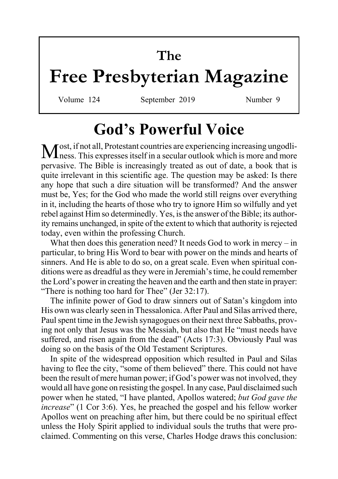# **The**

# **Free Presbyterian Magazine**

Volume 124 September 2019 Number 9

# **God's Powerful Voice**

Most, if not all, Protestant countries are experiencing increasing ungodli-ness. This expresses itself in a secular outlook which is more and more pervasive. The Bible is increasingly treated as out of date, a book that is quite irrelevant in this scientific age. The question may be asked: Is there any hope that such a dire situation will be transformed? And the answer must be, Yes; for the God who made the world still reigns over everything in it, including the hearts of those who try to ignore Him so wilfully and yet rebel against Him so determinedly. Yes, is the answer of the Bible; its authority remains unchanged, in spite of the extent to which that authority is rejected today, even within the professing Church.

What then does this generation need? It needs God to work in mercy – in particular, to bring His Word to bear with power on the minds and hearts of sinners. And He is able to do so, on a great scale. Even when spiritual conditions were as dreadful as they were in Jeremiah's time, he could remember the Lord's power in creating the heaven and the earth and then state in prayer: "There is nothing too hard for Thee" (Jer 32:17).

The infinite power of God to draw sinners out of Satan's kingdom into His own was clearly seen in Thessalonica. After Paul and Silas arrived there, Paul spent time in the Jewish synagogues on their next three Sabbaths, proving not only that Jesus was the Messiah, but also that He "must needs have suffered, and risen again from the dead" (Acts 17:3). Obviously Paul was doing so on the basis of the Old Testament Scriptures.

In spite of the widespread opposition which resulted in Paul and Silas having to flee the city, "some of them believed" there. This could not have been the result of mere human power; if God's power was not involved, they would all have gone on resisting the gospel. In any case, Paul disclaimed such power when he stated, "I have planted, Apollos watered; *but God gave the increase*" (1 Cor 3:6). Yes, he preached the gospel and his fellow worker Apollos went on preaching after him, but there could be no spiritual effect unless the Holy Spirit applied to individual souls the truths that were proclaimed. Commenting on this verse, Charles Hodge draws this conclusion: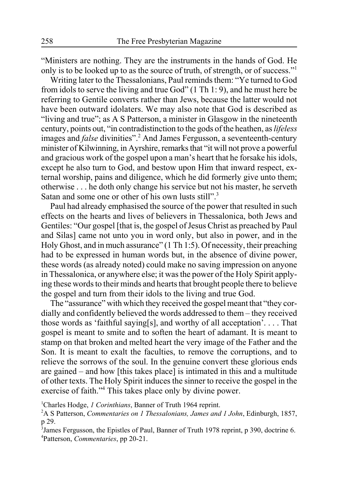"Ministers are nothing. They are the instruments in the hands of God. He only is to be looked up to as the source of truth, of strength, or of success."1

Writing later to the Thessalonians, Paul reminds them: "Ye turned to God from idols to serve the living and true God" (1 Th 1: 9), and he must here be referring to Gentile converts rather than Jews, because the latter would not have been outward idolaters. We may also note that God is described as "living and true"; as A S Patterson, a minister in Glasgow in the nineteenth century, points out, "in contradistinction to the gods of the heathen, as *lifeless* images and *false* divinities".<sup>2</sup> And James Fergusson, a seventeenth-century minister of Kilwinning, in Ayrshire, remarks that "it will not prove a powerful and gracious work of the gospel upon a man's heart that he forsake his idols, except he also turn to God, and bestow upon Him that inward respect, external worship, pains and diligence, which he did formerly give unto them; otherwise . . . he doth only change his service but not his master, he serveth Satan and some one or other of his own lusts still".<sup>3</sup>

Paul had already emphasised the source of the power that resulted in such effects on the hearts and lives of believers in Thessalonica, both Jews and Gentiles: "Our gospel [that is, the gospel of Jesus Christ as preached by Paul and Silas] came not unto you in word only, but also in power, and in the Holy Ghost, and in much assurance" (1 Th 1:5). Of necessity, their preaching had to be expressed in human words but, in the absence of divine power, these words (as already noted) could make no saving impression on anyone in Thessalonica, or anywhere else; it was the power of the Holy Spirit applying these words to their minds and hearts that brought people there to believe the gospel and turn from their idols to the living and true God.

The "assurance" with which they received the gospel meant that "they cordially and confidently believed the words addressed to them – they received those words as 'faithful saying[s], and worthy of all acceptation'. . . . That gospel is meant to smite and to soften the heart of adamant. It is meant to stamp on that broken and melted heart the very image of the Father and the Son. It is meant to exalt the faculties, to remove the corruptions, and to relieve the sorrows of the soul. In the genuine convert these glorious ends are gained – and how [this takes place] is intimated in this and a multitude of other texts. The Holy Spirit induces the sinner to receive the gospel in the exercise of faith."<sup>4</sup> This takes place only by divine power.

1 Charles Hodge, *1 Corinthians*, Banner of Truth 1964 reprint.

2 A S Patterson, *Commentaries on 1 Thessalonians, James and 1 John*, Edinburgh, 1857, p 29.

<sup>3</sup> James Fergusson, the Epistles of Paul, Banner of Truth 1978 reprint, p 390, doctrine 6. 4 Patterson, *Commentaries*, pp 20-21.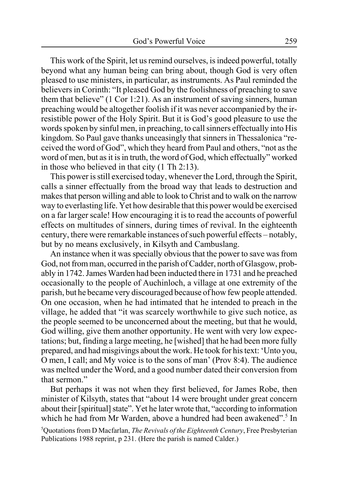This work of the Spirit, let us remind ourselves, is indeed powerful, totally beyond what any human being can bring about, though God is very often pleased to use ministers, in particular, as instruments. As Paul reminded the believers in Corinth: "It pleased God by the foolishness of preaching to save them that believe" (1 Cor 1:21). As an instrument of saving sinners, human preaching would be altogether foolish if it was never accompanied by the irresistible power of the Holy Spirit. But it is God's good pleasure to use the words spoken by sinful men, in preaching, to call sinners effectually into His kingdom. So Paul gave thanks unceasingly that sinners in Thessalonica "received the word of God", which they heard from Paul and others, "not as the word of men, but as it is in truth, the word of God, which effectually" worked in those who believed in that city (1 Th 2:13).

This power is still exercised today, whenever the Lord, through the Spirit, calls a sinner effectually from the broad way that leads to destruction and makes that person willing and able to look to Christ and to walk on the narrow way to everlasting life. Yet how desirable that this power would be exercised on a far larger scale! How encouraging it is to read the accounts of powerful effects on multitudes of sinners, during times of revival. In the eighteenth century, there were remarkable instances of such powerful effects – notably, but by no means exclusively, in Kilsyth and Cambuslang.

An instance when it was specially obvious that the power to save was from God, not from man, occurred in the parish of Cadder, north of Glasgow, probably in 1742. James Warden had been inducted there in 1731 and he preached occasionally to the people of Auchinloch, a village at one extremity of the parish, but he became very discouraged because of how few people attended. On one occasion, when he had intimated that he intended to preach in the village, he added that "it was scarcely worthwhile to give such notice, as the people seemed to be unconcerned about the meeting, but that he would, God willing, give them another opportunity. He went with very low expectations; but, finding a large meeting, he [wished] that he had been more fully prepared, and had misgivings about the work. He took for his text: 'Unto you, O men, I call; and My voice is to the sons of man' (Prov 8:4). The audience was melted under the Word, and a good number dated their conversion from that sermon."

But perhaps it was not when they first believed, for James Robe, then minister of Kilsyth, states that "about 14 were brought under great concern about their [spiritual] state". Yet he later wrote that, "according to information which he had from Mr Warden, above a hundred had been awakened".<sup>5</sup> In

5 Quotations from D Macfarlan, *The Revivals of the Eighteenth Century*, Free Presbyterian Publications 1988 reprint, p 231. (Here the parish is named Calder.)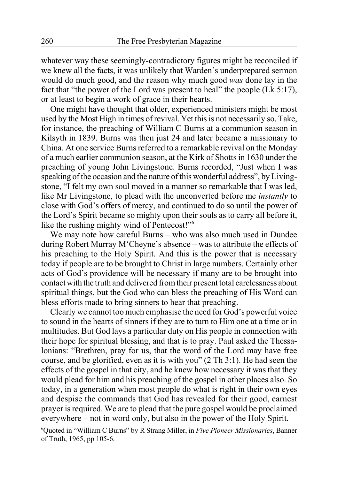whatever way these seemingly-contradictory figures might be reconciled if we knew all the facts, it was unlikely that Warden's underprepared sermon would do much good, and the reason why much good *was* done lay in the fact that "the power of the Lord was present to heal" the people (Lk 5:17), or at least to begin a work of grace in their hearts.

One might have thought that older, experienced ministers might be most used by the Most High in times of revival. Yet this is not necessarily so. Take, for instance, the preaching of William C Burns at a communion season in Kilsyth in 1839. Burns was then just 24 and later became a missionary to China. At one service Burns referred to a remarkable revival on the Monday of a much earlier communion season, at the Kirk of Shotts in 1630 under the preaching of young John Livingstone. Burns recorded, "Just when I was speaking of the occasion and the nature of this wonderful address", by Livingstone, "I felt my own soul moved in a manner so remarkable that I was led, like Mr Livingstone, to plead with the unconverted before me *instantly* to close with God's offers of mercy, and continued to do so until the power of the Lord's Spirit became so mighty upon their souls as to carry all before it, like the rushing mighty wind of Pentecost!"<sup>6</sup>

We may note how careful Burns – who was also much used in Dundee during Robert Murray M'Cheyne's absence – was to attribute the effects of his preaching to the Holy Spirit. And this is the power that is necessary today if people are to be brought to Christ in large numbers. Certainly other acts of God's providence will be necessary if many are to be brought into contact with the truth and delivered from their present total carelessness about spiritual things, but the God who can bless the preaching of His Word can bless efforts made to bring sinners to hear that preaching.

Clearly we cannot too much emphasise the need for God's powerful voice to sound in the hearts of sinners if they are to turn to Him one at a time or in multitudes. But God lays a particular duty on His people in connection with their hope for spiritual blessing, and that is to pray. Paul asked the Thessalonians: "Brethren, pray for us, that the word of the Lord may have free course, and be glorified, even as it is with you" (2 Th 3:1). He had seen the effects of the gospel in that city, and he knew how necessary it was that they would plead for him and his preaching of the gospel in other places also. So today, in a generation when most people do what is right in their own eyes and despise the commands that God has revealed for their good, earnest prayer is required. We are to plead that the pure gospel would be proclaimed everywhere – not in word only, but also in the power of the Holy Spirit.

6 Quoted in "William C Burns" by R Strang Miller, in *Five Pioneer Missionaries*, Banner of Truth, 1965, pp 105-6.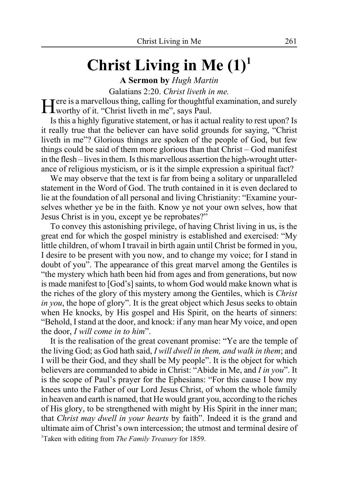# **Christ Living in Me (1)1**

**A Sermon by** *Hugh Martin*

Galatians 2:20. *Christ liveth in me*.<br> **Tere** is a marvellous thing, calling for thoughtful examination, and surely Here is a marvellous thing, calling for thoughtful examination, and surely<br>Worthy of it. "Christ liveth in me", says Paul.

Is this a highly figurative statement, or has it actual reality to rest upon? Is it really true that the believer can have solid grounds for saying, "Christ liveth in me"? Glorious things are spoken of the people of God, but few things could be said of them more glorious than that Christ – God manifest in the flesh – lives in them. Is this marvellous assertion the high-wrought utterance of religious mysticism, or is it the simple expression a spiritual fact?

We may observe that the text is far from being a solitary or unparalleled statement in the Word of God. The truth contained in it is even declared to lie at the foundation of all personal and living Christianity: "Examine yourselves whether ye be in the faith. Know ye not your own selves, how that Jesus Christ is in you, except ye be reprobates?"

To convey this astonishing privilege, of having Christ living in us, is the great end for which the gospel ministry is established and exercised: "My little children, of whom I travail in birth again until Christ be formed in you, I desire to be present with you now, and to change my voice; for I stand in doubt of you". The appearance of this great marvel among the Gentiles is "the mystery which hath been hid from ages and from generations, but now is made manifest to [God's] saints, to whom God would make known what is the riches of the glory of this mystery among the Gentiles, which is *Christ in you*, the hope of glory". It is the great object which Jesus seeks to obtain when He knocks, by His gospel and His Spirit, on the hearts of sinners: "Behold, I stand at the door, and knock: if any man hear My voice, and open the door, *I will come in to him*".

It is the realisation of the great covenant promise: "Ye are the temple of the living God; as God hath said, *I will dwell in them, and walk in them*; and I will be their God, and they shall be My people". It is the object for which believers are commanded to abide in Christ: "Abide in Me, and *I in you*". It is the scope of Paul's prayer for the Ephesians: "For this cause I bow my knees unto the Father of our Lord Jesus Christ, of whom the whole family in heaven and earth is named, that He would grant you, according to the riches of His glory, to be strengthened with might by His Spirit in the inner man; that *Christ may dwell in your hearts* by faith". Indeed it is the grand and ultimate aim of Christ's own intercession; the utmost and terminal desire of 1 Taken with editing from *The Family Treasury* for 1859.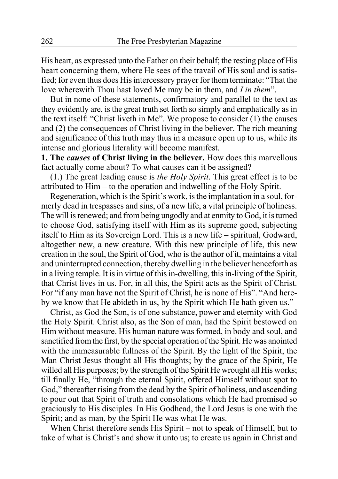His heart, as expressed unto the Father on their behalf; the resting place of His heart concerning them, where He sees of the travail of His soul and is satisfied; for even thus does His intercessory prayer for them terminate: "That the love wherewith Thou hast loved Me may be in them, and *I in them*".

But in none of these statements, confirmatory and parallel to the text as they evidently are, is the great truth set forth so simply and emphatically as in the text itself: "Christ liveth in Me". We propose to consider (1) the causes and (2) the consequences of Christ living in the believer. The rich meaning and significance of this truth may thus in a measure open up to us, while its intense and glorious literality will become manifest.

**1. The** *causes* **of Christ living in the believer.** How does this marvellous fact actually come about? To what causes can it be assigned?

(1.) The great leading cause is *the Holy Spirit*. This great effect is to be attributed to Him – to the operation and indwelling of the Holy Spirit.

Regeneration, which is the Spirit's work, is the implantation in a soul, formerly dead in trespasses and sins, of a new life, a vital principle of holiness. The will is renewed; and from being ungodly and at enmity to God, it is turned to choose God, satisfying itself with Him as its supreme good, subjecting itself to Him as its Sovereign Lord. This is a new life – spiritual, Godward, altogether new, a new creature. With this new principle of life, this new creation in the soul, the Spirit of God, who is the author of it, maintains a vital and uninterrupted connection, thereby dwelling in the believer henceforth as in a living temple. It is in virtue of this in-dwelling, this in-living of the Spirit, that Christ lives in us. For, in all this, the Spirit acts as the Spirit of Christ. For "if any man have not the Spirit of Christ, he is none of His". "And hereby we know that He abideth in us, by the Spirit which He hath given us."

Christ, as God the Son, is of one substance, power and eternity with God the Holy Spirit. Christ also, as the Son of man, had the Spirit bestowed on Him without measure. His human nature was formed, in body and soul, and sanctified from the first, by the special operation of the Spirit. He was anointed with the immeasurable fullness of the Spirit. By the light of the Spirit, the Man Christ Jesus thought all His thoughts; by the grace of the Spirit, He willed all His purposes; by the strength of the Spirit He wrought all His works; till finally He, "through the eternal Spirit, offered Himself without spot to God," thereafter rising from the dead by the Spirit of holiness, and ascending to pour out that Spirit of truth and consolations which He had promised so graciously to His disciples. In His Godhead, the Lord Jesus is one with the Spirit; and as man, by the Spirit He was what He was.

When Christ therefore sends His Spirit – not to speak of Himself, but to take of what is Christ's and show it unto us; to create us again in Christ and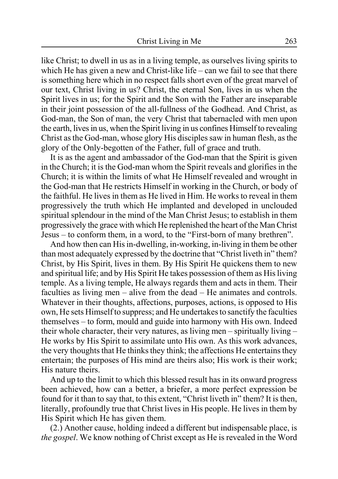like Christ; to dwell in us as in a living temple, as ourselves living spirits to which He has given a new and Christ-like life – can we fail to see that there is something here which in no respect falls short even of the great marvel of our text, Christ living in us? Christ, the eternal Son, lives in us when the Spirit lives in us; for the Spirit and the Son with the Father are inseparable in their joint possession of the all-fullness of the Godhead. And Christ, as God-man, the Son of man, the very Christ that tabernacled with men upon the earth, lives in us, when the Spirit living in us confines Himself to revealing Christ as the God-man, whose glory His disciples saw in human flesh, as the glory of the Only-begotten of the Father, full of grace and truth.

It is as the agent and ambassador of the God-man that the Spirit is given in the Church; it is the God-man whom the Spirit reveals and glorifies in the Church; it is within the limits of what He Himself revealed and wrought in the God-man that He restricts Himself in working in the Church, or body of the faithful. He lives in them as He lived in Him. He works to reveal in them progressively the truth which He implanted and developed in unclouded spiritual splendour in the mind of the Man Christ Jesus; to establish in them progressively the grace with which He replenished the heart of the Man Christ Jesus – to conform them, in a word, to the "First-born of many brethren".

And how then can His in-dwelling, in-working, in-living in them be other than most adequately expressed by the doctrine that "Christ liveth in" them? Christ, by His Spirit, lives in them. By His Spirit He quickens them to new and spiritual life; and by His Spirit He takes possession of them as His living temple. As a living temple, He always regards them and acts in them. Their faculties as living men – alive from the dead – He animates and controls. Whatever in their thoughts, affections, purposes, actions, is opposed to His own, He sets Himself to suppress; and He undertakes to sanctify the faculties themselves – to form, mould and guide into harmony with His own. Indeed their whole character, their very natures, as living men – spiritually living – He works by His Spirit to assimilate unto His own. As this work advances, the very thoughts that He thinks they think; the affections He entertains they entertain; the purposes of His mind are theirs also; His work is their work; His nature theirs.

And up to the limit to which this blessed result has in its onward progress been achieved, how can a better, a briefer, a more perfect expression be found for it than to say that, to this extent, "Christ liveth in" them? It is then, literally, profoundly true that Christ lives in His people. He lives in them by His Spirit which He has given them.

(2.) Another cause, holding indeed a different but indispensable place, is *the gospel*. We know nothing of Christ except as He is revealed in the Word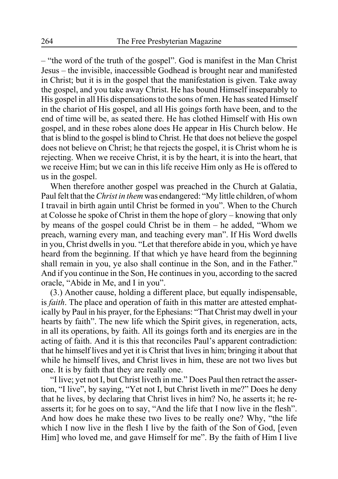– "the word of the truth of the gospel". God is manifest in the Man Christ Jesus – the invisible, inaccessible Godhead is brought near and manifested in Christ; but it is in the gospel that the manifestation is given. Take away the gospel, and you take away Christ. He has bound Himself inseparably to His gospel in all His dispensations to the sons of men. He has seated Himself in the chariot of His gospel, and all His goings forth have been, and to the end of time will be, as seated there. He has clothed Himself with His own gospel, and in these robes alone does He appear in His Church below. He that is blind to the gospel is blind to Christ. He that does not believe the gospel does not believe on Christ; he that rejects the gospel, it is Christ whom he is rejecting. When we receive Christ, it is by the heart, it is into the heart, that we receive Him; but we can in this life receive Him only as He is offered to us in the gospel.

When therefore another gospel was preached in the Church at Galatia, Paul felt that the *Christ in them* was endangered: "My little children, of whom I travail in birth again until Christ be formed in you". When to the Church at Colosse he spoke of Christ in them the hope of glory – knowing that only by means of the gospel could Christ be in them – he added, "Whom we preach, warning every man, and teaching every man". If His Word dwells in you, Christ dwells in you. "Let that therefore abide in you, which ye have heard from the beginning. If that which ye have heard from the beginning shall remain in you, ye also shall continue in the Son, and in the Father." And if you continue in the Son, He continues in you, according to the sacred oracle, "Abide in Me, and I in you".

(3.) Another cause, holding a different place, but equally indispensable, is *faith*. The place and operation of faith in this matter are attested emphatically by Paul in his prayer, for the Ephesians: "That Christ may dwell in your hearts by faith". The new life which the Spirit gives, in regeneration, acts, in all its operations, by faith. All its goings forth and its energies are in the acting of faith. And it is this that reconciles Paul's apparent contradiction: that he himself lives and yet it is Christ that lives in him; bringing it about that while he himself lives, and Christ lives in him, these are not two lives but one. It is by faith that they are really one.

"I live; yet not I, but Christ liveth in me." Does Paul then retract the assertion, "I live", by saying, "Yet not I, but Christ liveth in me?" Does he deny that he lives, by declaring that Christ lives in him? No, he asserts it; he reasserts it; for he goes on to say, "And the life that I now live in the flesh". And how does he make these two lives to be really one? Why, "the life which I now live in the flesh I live by the faith of the Son of God, [even Him] who loved me, and gave Himself for me". By the faith of Him I live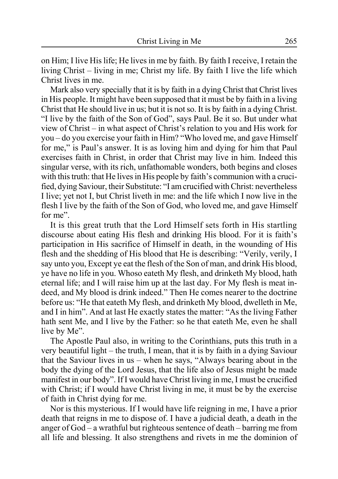on Him; I live His life; He lives in me by faith. By faith I receive, I retain the living Christ – living in me; Christ my life. By faith I live the life which Christ lives in me.

Mark also very specially that it is by faith in a dying Christ that Christ lives in His people. It might have been supposed that it must be by faith in a living Christ that He should live in us; but it is not so. It is by faith in a dying Christ. "I live by the faith of the Son of God", says Paul. Be it so. But under what view of Christ – in what aspect of Christ's relation to you and His work for you – do you exercise your faith in Him? "Who loved me, and gave Himself for me," is Paul's answer. It is as loving him and dying for him that Paul exercises faith in Christ, in order that Christ may live in him. Indeed this singular verse, with its rich, unfathomable wonders, both begins and closes with this truth: that He lives in His people by faith's communion with a crucified, dying Saviour, their Substitute: "I am crucified with Christ: nevertheless I live; yet not I, but Christ liveth in me: and the life which I now live in the flesh I live by the faith of the Son of God, who loved me, and gave Himself for me".

It is this great truth that the Lord Himself sets forth in His startling discourse about eating His flesh and drinking His blood. For it is faith's participation in His sacrifice of Himself in death, in the wounding of His flesh and the shedding of His blood that He is describing: "Verily, verily, I say unto you, Except ye eat the flesh of the Son of man, and drink His blood, ye have no life in you. Whoso eateth My flesh, and drinketh My blood, hath eternal life; and I will raise him up at the last day. For My flesh is meat indeed, and My blood is drink indeed." Then He comes nearer to the doctrine before us: "He that eateth My flesh, and drinketh My blood, dwelleth in Me, and I in him". And at last He exactly states the matter: "As the living Father hath sent Me, and I live by the Father: so he that eateth Me, even he shall live by Me".

The Apostle Paul also, in writing to the Corinthians, puts this truth in a very beautiful light – the truth, I mean, that it is by faith in a dying Saviour that the Saviour lives in us – when he says, "Always bearing about in the body the dying of the Lord Jesus, that the life also of Jesus might be made manifest in our body". If I would have Christ living in me, I must be crucified with Christ; if I would have Christ living in me, it must be by the exercise of faith in Christ dying for me.

Nor is this mysterious. If I would have life reigning in me, I have a prior death that reigns in me to dispose of. I have a judicial death, a death in the anger of God – a wrathful but righteous sentence of death – barring me from all life and blessing. It also strengthens and rivets in me the dominion of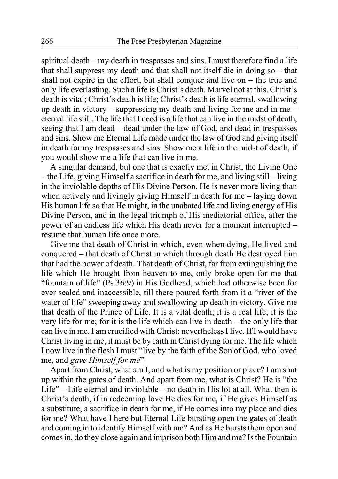spiritual death – my death in trespasses and sins. I must therefore find a life that shall suppress my death and that shall not itself die in doing so – that shall not expire in the effort, but shall conquer and live on – the true and only life everlasting. Such a life is Christ's death. Marvel not at this. Christ's death is vital; Christ's death is life; Christ's death is life eternal, swallowing up death in victory – suppressing my death and living for me and in me – eternal life still. The life that I need is a life that can live in the midst of death, seeing that I am dead – dead under the law of God, and dead in trespasses and sins. Show me Eternal Life made under the law of God and giving itself in death for my trespasses and sins. Show me a life in the midst of death, if you would show me a life that can live in me.

A singular demand, but one that is exactly met in Christ, the Living One – the Life, giving Himself a sacrifice in death for me, and living still – living in the inviolable depths of His Divine Person. He is never more living than when actively and livingly giving Himself in death for me – laying down His human life so that He might, in the unabated life and living energy of His Divine Person, and in the legal triumph of His mediatorial office, after the power of an endless life which His death never for a moment interrupted – resume that human life once more.

Give me that death of Christ in which, even when dying, He lived and conquered – that death of Christ in which through death He destroyed him that had the power of death. That death of Christ, far from extinguishing the life which He brought from heaven to me, only broke open for me that "fountain of life" (Ps 36:9) in His Godhead, which had otherwise been for ever sealed and inaccessible, till there poured forth from it a "river of the water of life" sweeping away and swallowing up death in victory. Give me that death of the Prince of Life. It is a vital death; it is a real life; it is the very life for me; for it is the life which can live in death – the only life that can live in me. I am crucified with Christ: nevertheless I live. If I would have Christ living in me, it must be by faith in Christ dying for me. The life which I now live in the flesh I must "live by the faith of the Son of God, who loved me, and *gave Himself for me*".

Apart from Christ, what am I, and what is my position or place? I am shut up within the gates of death. And apart from me, what is Christ? He is "the Life" – Life eternal and inviolable – no death in His lot at all. What then is Christ's death, if in redeeming love He dies for me, if He gives Himself as a substitute, a sacrifice in death for me, if He comes into my place and dies for me? What have I here but Eternal Life bursting open the gates of death and coming in to identify Himself with me? And as He bursts them open and comes in, do they close again and imprison both Him and me? Is the Fountain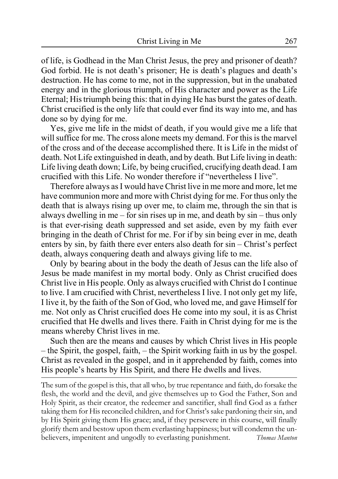of life, is Godhead in the Man Christ Jesus, the prey and prisoner of death? God forbid. He is not death's prisoner; He is death's plagues and death's destruction. He has come to me, not in the suppression, but in the unabated energy and in the glorious triumph, of His character and power as the Life Eternal; His triumph being this: that in dying He has burst the gates of death. Christ crucified is the only life that could ever find its way into me, and has done so by dying for me.

Yes, give me life in the midst of death, if you would give me a life that will suffice for me. The cross alone meets my demand. For this is the marvel of the cross and of the decease accomplished there. It is Life in the midst of death. Not Life extinguished in death, and by death. But Life living in death: Life living death down; Life, by being crucified, crucifying death dead. I am crucified with this Life. No wonder therefore if "nevertheless I live".

Therefore always as I would have Christ live in me more and more, let me have communion more and more with Christ dying for me. For thus only the death that is always rising up over me, to claim me, through the sin that is always dwelling in me – for sin rises up in me, and death by sin – thus only is that ever-rising death suppressed and set aside, even by my faith ever bringing in the death of Christ for me. For if by sin being ever in me, death enters by sin, by faith there ever enters also death for sin – Christ's perfect death, always conquering death and always giving life to me.

Only by bearing about in the body the death of Jesus can the life also of Jesus be made manifest in my mortal body. Only as Christ crucified does Christ live in His people. Only as always crucified with Christ do I continue to live. I am crucified with Christ, nevertheless I live. I not only get my life, I live it, by the faith of the Son of God, who loved me, and gave Himself for me. Not only as Christ crucified does He come into my soul, it is as Christ crucified that He dwells and lives there. Faith in Christ dying for me is the means whereby Christ lives in me.

Such then are the means and causes by which Christ lives in His people – the Spirit, the gospel, faith, – the Spirit working faith in us by the gospel. Christ as revealed in the gospel, and in it apprehended by faith, comes into His people's hearts by His Spirit, and there He dwells and lives.

The sum of the gospel is this, that all who, by true repentance and faith, do forsake the flesh, the world and the devil, and give themselves up to God the Father, Son and Holy Spirit, as their creator, the redeemer and sanctifier, shall find God as a father taking them for His reconciled children, and for Christ's sake pardoning their sin, and by His Spirit giving them His grace; and, if they persevere in this course, will finally glorify them and bestow upon them everlasting happiness; but will condemn the unbelievers, impenitent and ungodly to everlasting punishment. *Thomas Manton*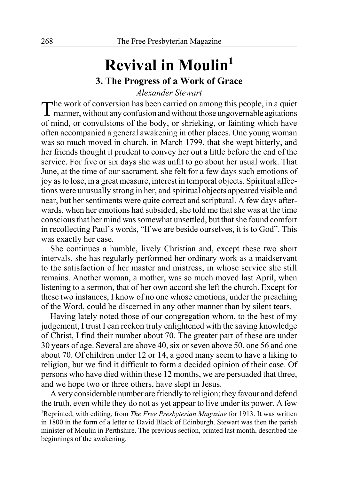# **Revival in Moulin1 3. The Progress of a Work of Grace**

*Alexander Stewart*

The work of conversion has been carried on among this people, in a quiet manner, without any confusion and without those ungovernable agitations of mind, or convulsions of the body, or shrieking, or fainting which have often accompanied a general awakening in other places. One young woman was so much moved in church, in March 1799, that she wept bitterly, and her friends thought it prudent to convey her out a little before the end of the service. For five or six days she was unfit to go about her usual work. That June, at the time of our sacrament, she felt for a few days such emotions of joy as to lose, in a great measure, interest in temporal objects. Spiritual affections were unusually strong in her, and spiritual objects appeared visible and near, but her sentiments were quite correct and scriptural. A few days afterwards, when her emotions had subsided, she told me that she was at the time conscious that her mind was somewhat unsettled, but that she found comfort in recollecting Paul's words, "If we are beside ourselves, it is to God". This was exactly her case.

She continues a humble, lively Christian and, except these two short intervals, she has regularly performed her ordinary work as a maidservant to the satisfaction of her master and mistress, in whose service she still remains. Another woman, a mother, was so much moved last April, when listening to a sermon, that of her own accord she left the church. Except for these two instances, I know of no one whose emotions, under the preaching of the Word, could be discerned in any other manner than by silent tears.

Having lately noted those of our congregation whom, to the best of my judgement, I trust I can reckon truly enlightened with the saving knowledge of Christ, I find their number about 70. The greater part of these are under 30 years of age. Several are above 40, six or seven above 50, one 56 and one about 70. Of children under 12 or 14, a good many seem to have a liking to religion, but we find it difficult to form a decided opinion of their case. Of persons who have died within these 12 months, we are persuaded that three, and we hope two or three others, have slept in Jesus.

A very considerable number are friendly to religion; they favour and defend the truth, even while they do not as yet appear to live under its power. A few 1 Reprinted, with editing, from *The Free Presbyterian Magazine* for 1913. It was written in 1800 in the form of a letter to David Black of Edinburgh. Stewart was then the parish minister of Moulin in Perthshire. The previous section, printed last month, described the beginnings of the awakening.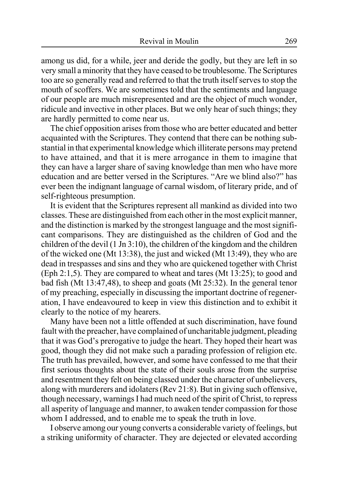among us did, for a while, jeer and deride the godly, but they are left in so very small a minority that they have ceased to be troublesome. The Scriptures too are so generally read and referred to that the truth itself serves to stop the mouth of scoffers. We are sometimes told that the sentiments and language of our people are much misrepresented and are the object of much wonder, ridicule and invective in other places. But we only hear of such things; they are hardly permitted to come near us.

The chief opposition arises from those who are better educated and better acquainted with the Scriptures. They contend that there can be nothing substantial in that experimental knowledge which illiterate persons may pretend to have attained, and that it is mere arrogance in them to imagine that they can have a larger share of saving knowledge than men who have more education and are better versed in the Scriptures. "Are we blind also?" has ever been the indignant language of carnal wisdom, of literary pride, and of self-righteous presumption.

It is evident that the Scriptures represent all mankind as divided into two classes. These are distinguished from each other in the most explicit manner, and the distinction is marked by the strongest language and the most significant comparisons. They are distinguished as the children of God and the children of the devil (1 Jn 3:10), the children of the kingdom and the children of the wicked one (Mt 13:38), the just and wicked (Mt 13:49), they who are dead in trespasses and sins and they who are quickened together with Christ (Eph 2:1,5). They are compared to wheat and tares (Mt 13:25); to good and bad fish (Mt 13:47,48), to sheep and goats (Mt 25:32). In the general tenor of my preaching, especially in discussing the important doctrine of regeneration, I have endeavoured to keep in view this distinction and to exhibit it clearly to the notice of my hearers.

Many have been not a little offended at such discrimination, have found fault with the preacher, have complained of uncharitable judgment, pleading that it was God's prerogative to judge the heart. They hoped their heart was good, though they did not make such a parading profession of religion etc. The truth has prevailed, however, and some have confessed to me that their first serious thoughts about the state of their souls arose from the surprise and resentment they felt on being classed under the character of unbelievers, along with murderers and idolaters (Rev 21:8). But in giving such offensive, though necessary, warnings I had much need of the spirit of Christ, to repress all asperity of language and manner, to awaken tender compassion for those whom I addressed, and to enable me to speak the truth in love.

I observe among our young converts a considerable variety of feelings, but a striking uniformity of character. They are dejected or elevated according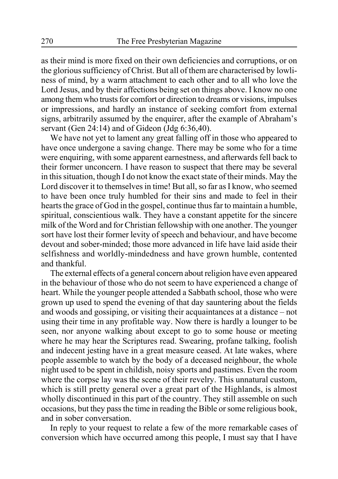as their mind is more fixed on their own deficiencies and corruptions, or on the glorious sufficiency of Christ. But all of them are characterised by lowliness of mind, by a warm attachment to each other and to all who love the Lord Jesus, and by their affections being set on things above. I know no one among them who trusts for comfort or direction to dreams or visions, impulses or impressions, and hardly an instance of seeking comfort from external signs, arbitrarily assumed by the enquirer, after the example of Abraham's servant (Gen  $24:14$ ) and of Gideon (Jdg  $6:36.40$ ).

We have not yet to lament any great falling off in those who appeared to have once undergone a saving change. There may be some who for a time were enquiring, with some apparent earnestness, and afterwards fell back to their former unconcern. I have reason to suspect that there may be several in this situation, though I do not know the exact state of their minds. May the Lord discover it to themselves in time! But all, so far as I know, who seemed to have been once truly humbled for their sins and made to feel in their hearts the grace of God in the gospel, continue thus far to maintain a humble, spiritual, conscientious walk. They have a constant appetite for the sincere milk of the Word and for Christian fellowship with one another. The younger sort have lost their former levity of speech and behaviour, and have become devout and sober-minded; those more advanced in life have laid aside their selfishness and worldly-mindedness and have grown humble, contented and thankful.

The external effects of a general concern about religion have even appeared in the behaviour of those who do not seem to have experienced a change of heart. While the younger people attended a Sabbath school, those who were grown up used to spend the evening of that day sauntering about the fields and woods and gossiping, or visiting their acquaintances at a distance – not using their time in any profitable way. Now there is hardly a lounger to be seen, nor anyone walking about except to go to some house or meeting where he may hear the Scriptures read. Swearing, profane talking, foolish and indecent jesting have in a great measure ceased. At late wakes, where people assemble to watch by the body of a deceased neighbour, the whole night used to be spent in childish, noisy sports and pastimes. Even the room where the corpse lay was the scene of their revelry. This unnatural custom, which is still pretty general over a great part of the Highlands, is almost wholly discontinued in this part of the country. They still assemble on such occasions, but they pass the time in reading the Bible or some religious book, and in sober conversation.

In reply to your request to relate a few of the more remarkable cases of conversion which have occurred among this people, I must say that I have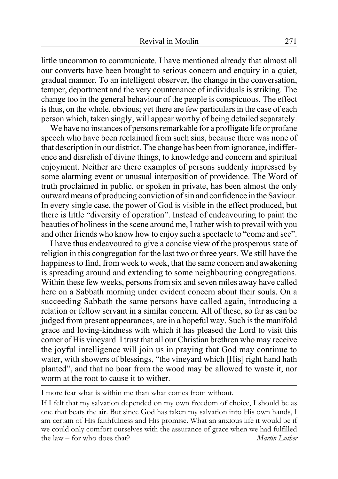little uncommon to communicate. I have mentioned already that almost all our converts have been brought to serious concern and enquiry in a quiet, gradual manner. To an intelligent observer, the change in the conversation, temper, deportment and the very countenance of individuals is striking. The change too in the general behaviour of the people is conspicuous. The effect is thus, on the whole, obvious; yet there are few particulars in the case of each person which, taken singly, will appear worthy of being detailed separately.

We have no instances of persons remarkable for a profligate life or profane speech who have been reclaimed from such sins, because there was none of that description in our district. The change has been from ignorance, indifference and disrelish of divine things, to knowledge and concern and spiritual enjoyment. Neither are there examples of persons suddenly impressed by some alarming event or unusual interposition of providence. The Word of truth proclaimed in public, or spoken in private, has been almost the only outward means of producing conviction of sin and confidence in the Saviour. In every single case, the power of God is visible in the effect produced, but there is little "diversity of operation". Instead of endeavouring to paint the beauties of holiness in the scene around me, I rather wish to prevail with you and other friends who know how to enjoy such a spectacle to "come and see".

I have thus endeavoured to give a concise view of the prosperous state of religion in this congregation for the last two or three years. We still have the happiness to find, from week to week, that the same concern and awakening is spreading around and extending to some neighbouring congregations. Within these few weeks, persons from six and seven miles away have called here on a Sabbath morning under evident concern about their souls. On a succeeding Sabbath the same persons have called again, introducing a relation or fellow servant in a similar concern. All of these, so far as can be judged from present appearances, are in a hopeful way. Such is the manifold grace and loving-kindness with which it has pleased the Lord to visit this corner of His vineyard. I trust that all our Christian brethren who may receive the joyful intelligence will join us in praying that God may continue to water, with showers of blessings, "the vineyard which [His] right hand hath planted", and that no boar from the wood may be allowed to waste it, nor worm at the root to cause it to wither.

I more fear what is within me than what comes from without.

If I felt that my salvation depended on my own freedom of choice, I should be as one that beats the air. But since God has taken my salvation into His own hands, I am certain of His faithfulness and His promise. What an anxious life it would be if we could only comfort ourselves with the assurance of grace when we had fulfilled the law – for who does that? *Martin Luther*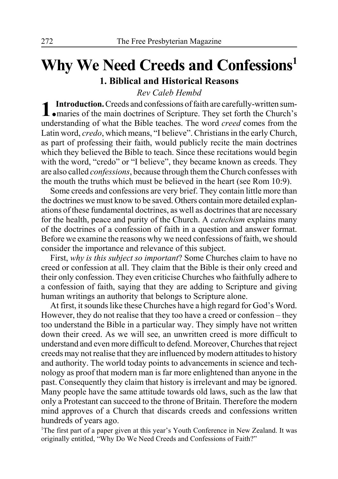# **Why We Need Creeds and Confessions1 1. Biblical and Historical Reasons**

*Rev Caleb Hembd*

**1.Introduction.** Creeds and confessions of faith are carefully-written sum-maries of the main doctrines of Scripture. They set forth the Church's understanding of what the Bible teaches. The word *creed* comes from the Latin word, *credo*, which means, "I believe". Christians in the early Church, as part of professing their faith, would publicly recite the main doctrines which they believed the Bible to teach. Since these recitations would begin with the word, "credo" or "I believe", they became known as creeds. They are also called *confessions*, because through them the Church confesses with the mouth the truths which must be believed in the heart (see Rom 10:9).

Some creeds and confessions are very brief. They contain little more than the doctrines we must know to be saved. Others contain more detailed explanations of these fundamental doctrines, as well as doctrines that are necessary for the health, peace and purity of the Church. A *catechism* explains many of the doctrines of a confession of faith in a question and answer format. Before we examine the reasons why we need confessions of faith, we should consider the importance and relevance of this subject.

First, *why is this subject so important*? Some Churches claim to have no creed or confession at all. They claim that the Bible is their only creed and their only confession. They even criticise Churches who faithfully adhere to a confession of faith, saying that they are adding to Scripture and giving human writings an authority that belongs to Scripture alone.

At first, it sounds like these Churches have a high regard for God's Word. However, they do not realise that they too have a creed or confession – they too understand the Bible in a particular way. They simply have not written down their creed. As we will see, an unwritten creed is more difficult to understand and even more difficult to defend. Moreover, Churches that reject creeds may not realise that they are influenced by modern attitudes to history and authority. The world today points to advancements in science and technology as proof that modern man is far more enlightened than anyone in the past. Consequently they claim that history is irrelevant and may be ignored. Many people have the same attitude towards old laws, such as the law that only a Protestant can succeed to the throne of Britain. Therefore the modern mind approves of a Church that discards creeds and confessions written hundreds of years ago.

<sup>1</sup>The first part of a paper given at this year's Youth Conference in New Zealand. It was originally entitled, "Why Do We Need Creeds and Confessions of Faith?"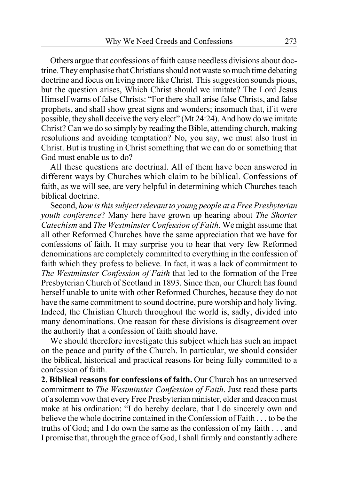Others argue that confessions of faith cause needless divisions about doctrine. They emphasise that Christians should not waste so much time debating doctrine and focus on living more like Christ. This suggestion sounds pious, but the question arises, Which Christ should we imitate? The Lord Jesus Himself warns of false Christs: "For there shall arise false Christs, and false prophets, and shall show great signs and wonders; insomuch that, if it were possible, they shall deceive the very elect" (Mt 24:24). And how do we imitate Christ? Can we do so simply by reading the Bible, attending church, making resolutions and avoiding temptation? No, you say, we must also trust in Christ. But is trusting in Christ something that we can do or something that God must enable us to do?

All these questions are doctrinal. All of them have been answered in different ways by Churches which claim to be biblical. Confessions of faith, as we will see, are very helpful in determining which Churches teach biblical doctrine.

Second, *how is this subject relevant to young people at a Free Presbyterian youth conference*? Many here have grown up hearing about *The Shorter Catechism* and *The Westminster Confession of Faith*. We might assume that all other Reformed Churches have the same appreciation that we have for confessions of faith. It may surprise you to hear that very few Reformed denominations are completely committed to everything in the confession of faith which they profess to believe. In fact, it was a lack of commitment to *The Westminster Confession of Faith* that led to the formation of the Free Presbyterian Church of Scotland in 1893. Since then, our Church has found herself unable to unite with other Reformed Churches, because they do not have the same commitment to sound doctrine, pure worship and holy living. Indeed, the Christian Church throughout the world is, sadly, divided into many denominations. One reason for these divisions is disagreement over the authority that a confession of faith should have.

We should therefore investigate this subject which has such an impact on the peace and purity of the Church. In particular, we should consider the biblical, historical and practical reasons for being fully committed to a confession of faith.

**2. Biblical reasons for confessions of faith.** Our Church has an unreserved commitment to *The Westminster Confession of Faith*. Just read these parts of a solemn vow that every Free Presbyterian minister, elder and deacon must make at his ordination: "I do hereby declare, that I do sincerely own and believe the whole doctrine contained in the Confession of Faith . . . to be the truths of God; and I do own the same as the confession of my faith . . . and I promise that, through the grace of God, I shall firmly and constantly adhere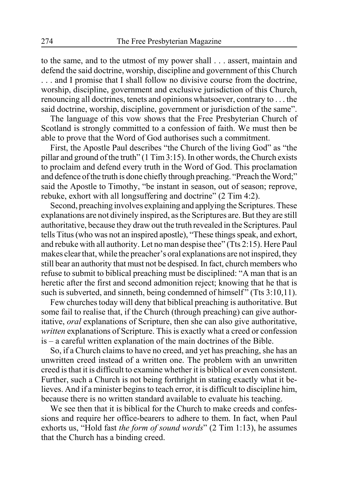to the same, and to the utmost of my power shall . . . assert, maintain and defend the said doctrine, worship, discipline and government of this Church . . . and I promise that I shall follow no divisive course from the doctrine, worship, discipline, government and exclusive jurisdiction of this Church, renouncing all doctrines, tenets and opinions whatsoever, contrary to . . . the said doctrine, worship, discipline, government or jurisdiction of the same".

The language of this vow shows that the Free Presbyterian Church of Scotland is strongly committed to a confession of faith. We must then be able to prove that the Word of God authorises such a commitment.

First, the Apostle Paul describes "the Church of the living God" as "the pillar and ground of the truth" (1 Tim 3:15). In other words, the Church exists to proclaim and defend every truth in the Word of God. This proclamation and defence of the truth is done chiefly through preaching. "Preach the Word;" said the Apostle to Timothy, "be instant in season, out of season; reprove, rebuke, exhort with all longsuffering and doctrine" (2 Tim 4:2).

Second, preaching involves explaining and applying the Scriptures. These explanations are not divinely inspired, as the Scriptures are. But they are still authoritative, because they draw out the truth revealed in the Scriptures. Paul tells Titus (who was not an inspired apostle), "These things speak, and exhort, and rebuke with all authority. Let no man despise thee" (Tts 2:15). Here Paul makes clear that, while the preacher's oral explanations are not inspired, they still bear an authority that must not be despised. In fact, church members who refuse to submit to biblical preaching must be disciplined: "A man that is an heretic after the first and second admonition reject; knowing that he that is such is subverted, and sinneth, being condemned of himself" (Tts 3:10,11).

Few churches today will deny that biblical preaching is authoritative. But some fail to realise that, if the Church (through preaching) can give authoritative, *oral* explanations of Scripture, then she can also give authoritative, *written* explanations of Scripture. This is exactly what a creed or confession is – a careful written explanation of the main doctrines of the Bible.

So, if a Church claims to have no creed, and yet has preaching, she has an unwritten creed instead of a written one. The problem with an unwritten creed is that it is difficult to examine whether it is biblical or even consistent. Further, such a Church is not being forthright in stating exactly what it believes. And if a minister begins to teach error, it is difficult to discipline him, because there is no written standard available to evaluate his teaching.

We see then that it is biblical for the Church to make creeds and confessions and require her office-bearers to adhere to them. In fact, when Paul exhorts us, "Hold fast *the form of sound words*" (2 Tim 1:13), he assumes that the Church has a binding creed.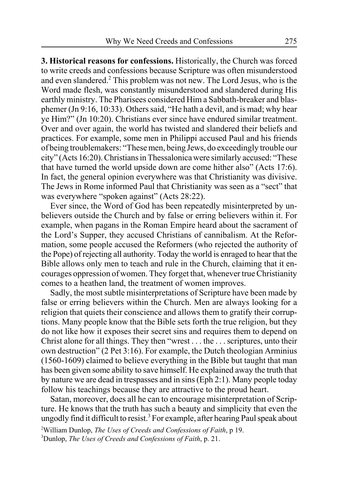**3. Historical reasons for confessions.** Historically, the Church was forced to write creeds and confessions because Scripture was often misunderstood and even slandered.<sup>2</sup> This problem was not new. The Lord Jesus, who is the Word made flesh, was constantly misunderstood and slandered during His earthly ministry. The Pharisees considered Him a Sabbath-breaker and blasphemer (Jn 9:16, 10:33). Others said, "He hath a devil, and is mad; why hear ye Him?" (Jn 10:20). Christians ever since have endured similar treatment. Over and over again, the world has twisted and slandered their beliefs and practices. For example, some men in Philippi accused Paul and his friends of being troublemakers: "These men, being Jews, do exceedingly trouble our city" (Acts 16:20). Christians in Thessalonica were similarly accused: "These that have turned the world upside down are come hither also" (Acts 17:6). In fact, the general opinion everywhere was that Christianity was divisive. The Jews in Rome informed Paul that Christianity was seen as a "sect" that was everywhere "spoken against" (Acts 28:22).

Ever since, the Word of God has been repeatedly misinterpreted by unbelievers outside the Church and by false or erring believers within it. For example, when pagans in the Roman Empire heard about the sacrament of the Lord's Supper, they accused Christians of cannibalism. At the Reformation, some people accused the Reformers (who rejected the authority of the Pope) of rejecting all authority. Today the world is enraged to hear that the Bible allows only men to teach and rule in the Church, claiming that it encourages oppression of women. They forget that, whenever true Christianity comes to a heathen land, the treatment of women improves.

Sadly, the most subtle misinterpretations of Scripture have been made by false or erring believers within the Church. Men are always looking for a religion that quiets their conscience and allows them to gratify their corruptions. Many people know that the Bible sets forth the true religion, but they do not like how it exposes their secret sins and requires them to depend on Christ alone for all things. They then "wrest . . . the . . . scriptures, unto their own destruction" (2 Pet 3:16). For example, the Dutch theologian Arminius (1560-1609) claimed to believe everything in the Bible but taught that man has been given some ability to save himself. He explained away the truth that by nature we are dead in trespasses and in sins (Eph 2:1). Many people today follow his teachings because they are attractive to the proud heart.

Satan, moreover, does all he can to encourage misinterpretation of Scripture. He knows that the truth has such a beauty and simplicity that even the ungodly find it difficult to resist.<sup>3</sup> For example, after hearing Paul speak about

2 William Dunlop, *The Uses of Creeds and Confessions of Faith*, p 19. 3 Dunlop, *The Uses of Creeds and Confessions of Faith*, p. 21.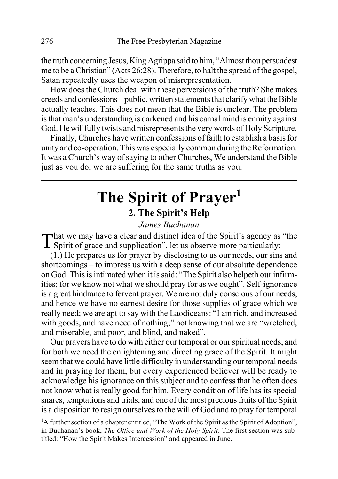the truth concerning Jesus, King Agrippa said to him, "Almost thou persuadest me to be a Christian" (Acts 26:28). Therefore, to halt the spread of the gospel, Satan repeatedly uses the weapon of misrepresentation.

How does the Church deal with these perversions of the truth? She makes creeds and confessions – public, written statements that clarify what the Bible actually teaches. This does not mean that the Bible is unclear. The problem is that man's understanding is darkened and his carnal mind is enmity against God. He willfully twists and misrepresents the very words of Holy Scripture.

Finally, Churches have written confessions of faith to establish a basis for unity and co-operation. This was especially common during the Reformation. It was a Church's way of saying to other Churches, We understand the Bible just as you do; we are suffering for the same truths as you.

# **The Spirit of Prayer1 2. The Spirit's Help**

#### *James Buchanan*

That we may have a clear and distinct idea of the Spirit's agency as "the **I** Spirit of grace and supplication", let us observe more particularly:

(1.) He prepares us for prayer by disclosing to us our needs, our sins and shortcomings – to impress us with a deep sense of our absolute dependence on God. This is intimated when it is said: "The Spirit also helpeth our infirmities; for we know not what we should pray for as we ought". Self-ignorance is a great hindrance to fervent prayer. We are not duly conscious of our needs, and hence we have no earnest desire for those supplies of grace which we really need; we are apt to say with the Laodiceans: "I am rich, and increased with goods, and have need of nothing;" not knowing that we are "wretched, and miserable, and poor, and blind, and naked".

Our prayers have to do with either our temporal or our spiritual needs, and for both we need the enlightening and directing grace of the Spirit. It might seem that we could have little difficulty in understanding our temporal needs and in praying for them, but every experienced believer will be ready to acknowledge his ignorance on this subject and to confess that he often does not know what is really good for him. Every condition of life has its special snares, temptations and trials, and one of the most precious fruits of the Spirit is a disposition to resign ourselves to the will of God and to pray for temporal

<sup>1</sup>A further section of a chapter entitled, "The Work of the Spirit as the Spirit of Adoption", in Buchanan's book, *The Office and Work of the Holy Spirit*. The first section was subtitled: "How the Spirit Makes Intercession" and appeared in June.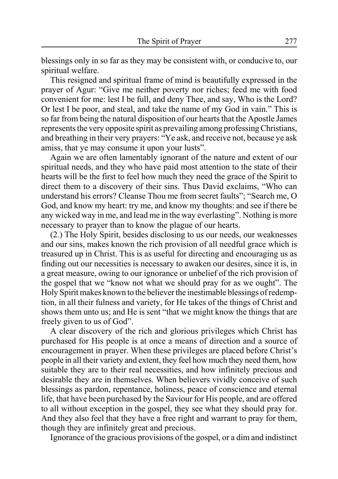blessings only in so far as they may be consistent with, or conducive to, our spiritual welfare.

This resigned and spiritual frame of mind is beautifully expressed in the prayer of Agur: "Give me neither poverty nor riches; feed me with food convenient for me: lest I be full, and deny Thee, and say, Who is the Lord? Or lest I be poor, and steal, and take the name of my God in vain." This is so far from being the natural disposition of our hearts that the Apostle James represents the very opposite spirit as prevailing among professing Christians, and breathing in their very prayers: "Ye ask, and receive not, because ye ask amiss, that ye may consume it upon your lusts".

Again we are often lamentably ignorant of the nature and extent of our spiritual needs, and they who have paid most attention to the state of their hearts will be the first to feel how much they need the grace of the Spirit to direct them to a discovery of their sins. Thus David exclaims, "Who can understand his errors? Cleanse Thou me from secret faults"; "Search me, O God, and know my heart: try me, and know my thoughts: and see if there be any wicked way in me, and lead me in the way everlasting". Nothing is more necessary to prayer than to know the plague of our hearts.

(2.) The Holy Spirit, besides disclosing to us our needs, our weaknesses and our sins, makes known the rich provision of all needful grace which is treasured up in Christ. This is as useful for directing and encouraging us as finding out our necessities is necessary to awaken our desires, since it is, in a great measure, owing to our ignorance or unbelief of the rich provision of the gospel that we "know not what we should pray for as we ought". The Holy Spirit makes known to the believer the inestimable blessings of redemption, in all their fulness and variety, for He takes of the things of Christ and shows them unto us; and He is sent "that we might know the things that are freely given to us of God".

A clear discovery of the rich and glorious privileges which Christ has purchased for His people is at once a means of direction and a source of encouragement in prayer. When these privileges are placed before Christ's people in all their variety and extent, they feel how much they need them, how suitable they are to their real necessities, and how infinitely precious and desirable they are in themselves. When believers vividly conceive of such blessings as pardon, repentance, holiness, peace of conscience and eternal life, that have been purchased by the Saviour for His people, and are offered to all without exception in the gospel, they see what they should pray for. And they also feel that they have a free right and warrant to pray for them, though they are infinitely great and precious.

Ignorance of the gracious provisions of the gospel, or a dim and indistinct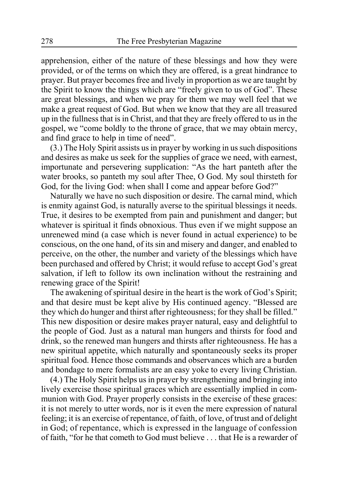apprehension, either of the nature of these blessings and how they were provided, or of the terms on which they are offered, is a great hindrance to prayer. But prayer becomes free and lively in proportion as we are taught by the Spirit to know the things which are "freely given to us of God". These are great blessings, and when we pray for them we may well feel that we make a great request of God. But when we know that they are all treasured up in the fullness that is in Christ, and that they are freely offered to us in the gospel, we "come boldly to the throne of grace, that we may obtain mercy, and find grace to help in time of need".

(3.) The Holy Spirit assists us in prayer by working in us such dispositions and desires as make us seek for the supplies of grace we need, with earnest, importunate and persevering supplication: "As the hart panteth after the water brooks, so panteth my soul after Thee, O God. My soul thirsteth for God, for the living God: when shall I come and appear before God?"

Naturally we have no such disposition or desire. The carnal mind, which is enmity against God, is naturally averse to the spiritual blessings it needs. True, it desires to be exempted from pain and punishment and danger; but whatever is spiritual it finds obnoxious. Thus even if we might suppose an unrenewed mind (a case which is never found in actual experience) to be conscious, on the one hand, of its sin and misery and danger, and enabled to perceive, on the other, the number and variety of the blessings which have been purchased and offered by Christ; it would refuse to accept God's great salvation, if left to follow its own inclination without the restraining and renewing grace of the Spirit!

The awakening of spiritual desire in the heart is the work of God's Spirit; and that desire must be kept alive by His continued agency. "Blessed are they which do hunger and thirst after righteousness; for they shall be filled." This new disposition or desire makes prayer natural, easy and delightful to the people of God. Just as a natural man hungers and thirsts for food and drink, so the renewed man hungers and thirsts after righteousness. He has a new spiritual appetite, which naturally and spontaneously seeks its proper spiritual food. Hence those commands and observances which are a burden and bondage to mere formalists are an easy yoke to every living Christian.

(4.) The Holy Spirit helps us in prayer by strengthening and bringing into lively exercise those spiritual graces which are essentially implied in communion with God. Prayer properly consists in the exercise of these graces: it is not merely to utter words, nor is it even the mere expression of natural feeling; it is an exercise of repentance, of faith, of love, of trust and of delight in God; of repentance, which is expressed in the language of confession of faith, "for he that cometh to God must believe . . . that He is a rewarder of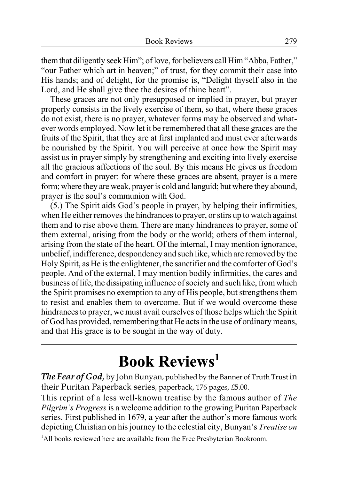them that diligently seek Him"; of love, for believers call Him "Abba, Father," "our Father which art in heaven;" of trust, for they commit their case into His hands; and of delight, for the promise is, "Delight thyself also in the Lord, and He shall give thee the desires of thine heart".

These graces are not only presupposed or implied in prayer, but prayer properly consists in the lively exercise of them, so that, where these graces do not exist, there is no prayer, whatever forms may be observed and whatever words employed. Now let it be remembered that all these graces are the fruits of the Spirit, that they are at first implanted and must ever afterwards be nourished by the Spirit. You will perceive at once how the Spirit may assist us in prayer simply by strengthening and exciting into lively exercise all the gracious affections of the soul. By this means He gives us freedom and comfort in prayer: for where these graces are absent, prayer is a mere form; where they are weak, prayer is cold and languid; but where they abound, prayer is the soul's communion with God.

(5.) The Spirit aids God's people in prayer, by helping their infirmities, when He either removes the hindrances to prayer, or stirs up to watch against them and to rise above them. There are many hindrances to prayer, some of them external, arising from the body or the world; others of them internal, arising from the state of the heart. Of the internal, I may mention ignorance, unbelief, indifference, despondency and such like, which are removed by the Holy Spirit, as He is the enlightener, the sanctifier and the comforter of God's people. And of the external, I may mention bodily infirmities, the cares and business of life, the dissipating influence of society and such like, from which the Spirit promises no exemption to any of His people, but strengthens them to resist and enables them to overcome. But if we would overcome these hindrances to prayer, we must avail ourselves of those helps which the Spirit of God has provided, remembering that He acts in the use of ordinary means, and that His grace is to be sought in the way of duty.

# **Book Reviews1**

*The Fear of God*, by John Bunyan, published by the Banner of Truth Trust in their Puritan Paperback series, paperback, 176 pages, £5.00.

This reprint of a less well-known treatise by the famous author of *The Pilgrim's Progress* is a welcome addition to the growing Puritan Paperback series. First published in 1679, a year after the author's more famous work depicting Christian on his journey to the celestial city, Bunyan's *Treatise on*

<sup>1</sup>All books reviewed here are available from the Free Presbyterian Bookroom.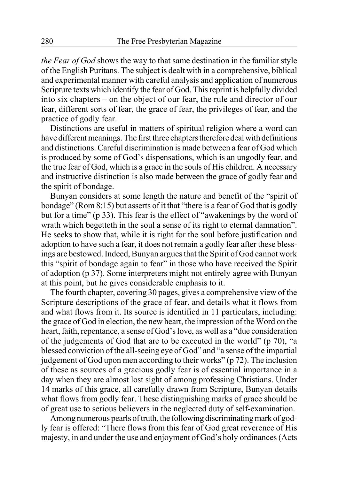*the Fear of God* shows the way to that same destination in the familiar style of the English Puritans. The subject is dealt with in a comprehensive, biblical and experimental manner with careful analysis and application of numerous Scripture texts which identify the fear of God. This reprint is helpfully divided into six chapters – on the object of our fear, the rule and director of our fear, different sorts of fear, the grace of fear, the privileges of fear, and the practice of godly fear.

Distinctions are useful in matters of spiritual religion where a word can have different meanings. The first three chapters therefore deal with definitions and distinctions. Careful discrimination is made between a fear of God which is produced by some of God's dispensations, which is an ungodly fear, and the true fear of God, which is a grace in the souls of His children. A necessary and instructive distinction is also made between the grace of godly fear and the spirit of bondage.

Bunyan considers at some length the nature and benefit of the "spirit of bondage" (Rom 8:15) but asserts of it that "there is a fear of God that is godly but for a time" (p 33). This fear is the effect of "awakenings by the word of wrath which begetteth in the soul a sense of its right to eternal damnation". He seeks to show that, while it is right for the soul before justification and adoption to have such a fear, it does not remain a godly fear after these blessings are bestowed. Indeed, Bunyan argues that the Spirit of God cannot work this "spirit of bondage again to fear" in those who have received the Spirit of adoption (p 37). Some interpreters might not entirely agree with Bunyan at this point, but he gives considerable emphasis to it.

The fourth chapter, covering 30 pages, gives a comprehensive view of the Scripture descriptions of the grace of fear, and details what it flows from and what flows from it. Its source is identified in 11 particulars, including: the grace of God in election, the new heart, the impression of the Word on the heart, faith, repentance, a sense of God's love, as well as a "due consideration of the judgements of God that are to be executed in the world" (p 70), "a blessed conviction of the all-seeing eye of God" and "a sense of the impartial judgement of God upon men according to their works" (p 72). The inclusion of these as sources of a gracious godly fear is of essential importance in a day when they are almost lost sight of among professing Christians. Under 14 marks of this grace, all carefully drawn from Scripture, Bunyan details what flows from godly fear. These distinguishing marks of grace should be of great use to serious believers in the neglected duty of self-examination.

Among numerous pearls of truth, the following discriminating mark of godly fear is offered: "There flows from this fear of God great reverence of His majesty, in and under the use and enjoyment of God's holy ordinances (Acts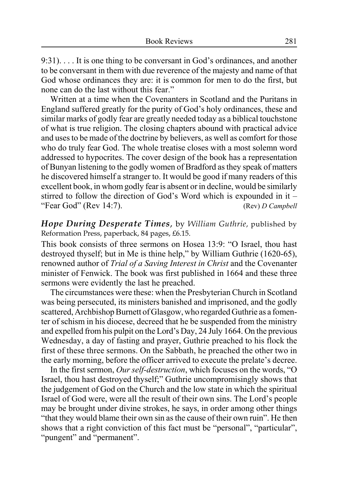9:31). . . . It is one thing to be conversant in God's ordinances, and another to be conversant in them with due reverence of the majesty and name of that God whose ordinances they are: it is common for men to do the first, but none can do the last without this fear."

Written at a time when the Covenanters in Scotland and the Puritans in England suffered greatly for the purity of God's holy ordinances, these and similar marks of godly fear are greatly needed today as a biblical touchstone of what is true religion. The closing chapters abound with practical advice and uses to be made of the doctrine by believers, as well as comfort for those who do truly fear God. The whole treatise closes with a most solemn word addressed to hypocrites. The cover design of the book has a representation of Bunyan listening to the godly women of Bradford as they speak of matters he discovered himself a stranger to. It would be good if many readers of this excellent book, in whom godly fear is absent or in decline, would be similarly stirred to follow the direction of God's Word which is expounded in it – "Fear God" (Rev 14:7). (Rev) *D Campbell*

*Hope During Desperate Times*, by *William Guthrie*, published by Reformation Press, paperback, 84 pages, £6.15.

This book consists of three sermons on Hosea 13:9: "O Israel, thou hast destroyed thyself; but in Me is thine help," by William Guthrie (1620-65), renowned author of *Trial of a Saving Interest in Christ* and the Covenanter minister of Fenwick. The book was first published in 1664 and these three sermons were evidently the last he preached.

The circumstances were these: when the Presbyterian Church in Scotland was being persecuted, its ministers banished and imprisoned, and the godly scattered, Archbishop Burnett of Glasgow, who regarded Guthrie as a fomenter of schism in his diocese, decreed that he be suspended from the ministry and expelled from his pulpit on the Lord's Day, 24 July 1664. On the previous Wednesday, a day of fasting and prayer, Guthrie preached to his flock the first of these three sermons. On the Sabbath, he preached the other two in the early morning, before the officer arrived to execute the prelate's decree.

In the first sermon, *Our self-destruction*, which focuses on the words, "O Israel, thou hast destroyed thyself;" Guthrie uncompromisingly shows that the judgement of God on the Church and the low state in which the spiritual Israel of God were, were all the result of their own sins. The Lord's people may be brought under divine strokes, he says, in order among other things "that they would blame their own sin as the cause of their own ruin". He then shows that a right conviction of this fact must be "personal", "particular", "pungent" and "permanent".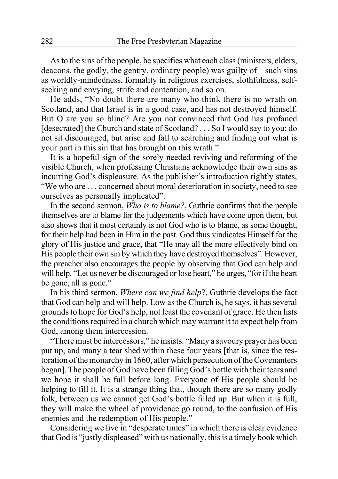As to the sins of the people, he specifies what each class (ministers, elders, deacons, the godly, the gentry, ordinary people) was guilty of – such sins as worldly-mindedness, formality in religious exercises, slothfulness, selfseeking and envying, strife and contention, and so on.

He adds, "No doubt there are many who think there is no wrath on Scotland, and that Israel is in a good case, and has not destroyed himself. But O are you so blind? Are you not convinced that God has profaned [desecrated] the Church and state of Scotland? . . . So I would say to you: do not sit discouraged, but arise and fall to searching and finding out what is your part in this sin that has brought on this wrath."

It is a hopeful sign of the sorely needed reviving and reforming of the visible Church, when professing Christians acknowledge their own sins as incurring God's displeasure. As the publisher's introduction rightly states, "We who are . . . concerned about moral deterioration in society, need to see ourselves as personally implicated".

In the second sermon, *Who is to blame?*, Guthrie confirms that the people themselves are to blame for the judgements which have come upon them, but also shows that it most certainly is not God who is to blame, as some thought, for their help had been in Him in the past. God thus vindicates Himself for the glory of His justice and grace, that "He may all the more effectively bind on His people their own sin by which they have destroyed themselves". However, the preacher also encourages the people by observing that God can help and will help. "Let us never be discouraged or lose heart," he urges, "for if the heart be gone, all is gone."

In his third sermon, *Where can we find help*?, Guthrie develops the fact that God can help and will help. Low as the Church is, he says, it has several grounds to hope for God's help, not least the covenant of grace. He then lists the conditions required in a church which may warrant it to expect help from God, among them intercession.

"There must be intercessors," he insists. "Many a savoury prayer has been put up, and many a tear shed within these four years [that is, since the restoration of the monarchy in 1660, after which persecution of the Covenanters began]. The people of God have been filling God's bottle with their tears and we hope it shall be full before long. Everyone of His people should be helping to fill it. It is a strange thing that, though there are so many godly folk, between us we cannot get God's bottle filled up. But when it is full, they will make the wheel of providence go round, to the confusion of His enemies and the redemption of His people."

Considering we live in "desperate times" in which there is clear evidence that God is "justly displeased" with us nationally, this is a timely book which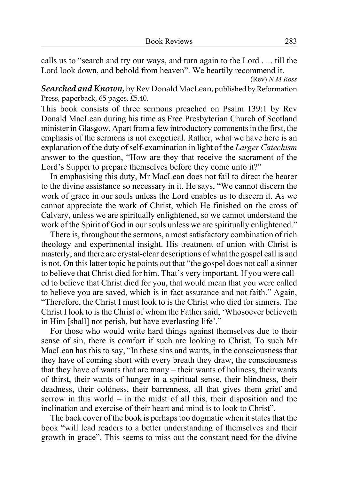calls us to "search and try our ways, and turn again to the Lord . . . till the Lord look down, and behold from heaven". We heartily recommend it.

(Rev) *N M Ross*

*Searched and Known*, by Rev Donald MacLean, published by Reformation Press, paperback, 65 pages, £5.40.

This book consists of three sermons preached on Psalm 139:1 by Rev Donald MacLean during his time as Free Presbyterian Church of Scotland minister in Glasgow. Apart from a few introductory comments in the first, the emphasis of the sermons is not exegetical. Rather, what we have here is an explanation of the duty of self-examination in light of the *Larger Catechism* answer to the question, "How are they that receive the sacrament of the Lord's Supper to prepare themselves before they come unto it?"

In emphasising this duty, Mr MacLean does not fail to direct the hearer to the divine assistance so necessary in it. He says, "We cannot discern the work of grace in our souls unless the Lord enables us to discern it. As we cannot appreciate the work of Christ, which He finished on the cross of Calvary, unless we are spiritually enlightened, so we cannot understand the work of the Spirit of God in our souls unless we are spiritually enlightened."

There is, throughout the sermons, a most satisfactory combination of rich theology and experimental insight. His treatment of union with Christ is masterly, and there are crystal-clear descriptions of what the gospel call is and is not. On this latter topic he points out that "the gospel does not call a sinner to believe that Christ died for him. That's very important. If you were called to believe that Christ died for you, that would mean that you were called to believe you are saved, which is in fact assurance and not faith." Again, "Therefore, the Christ I must look to is the Christ who died for sinners. The Christ I look to is the Christ of whom the Father said, 'Whosoever believeth in Him [shall] not perish, but have everlasting life'."

For those who would write hard things against themselves due to their sense of sin, there is comfort if such are looking to Christ. To such Mr MacLean has this to say, "In these sins and wants, in the consciousness that they have of coming short with every breath they draw, the consciousness that they have of wants that are many – their wants of holiness, their wants of thirst, their wants of hunger in a spiritual sense, their blindness, their deadness, their coldness, their barrenness, all that gives them grief and sorrow in this world – in the midst of all this, their disposition and the inclination and exercise of their heart and mind is to look to Christ".

The back cover of the book is perhaps too dogmatic when it states that the book "will lead readers to a better understanding of themselves and their growth in grace". This seems to miss out the constant need for the divine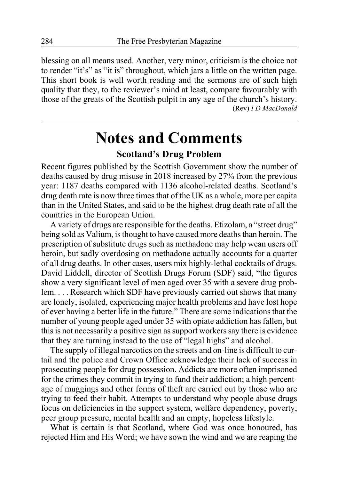blessing on all means used. Another, very minor, criticism is the choice not to render "it's" as "it is" throughout, which jars a little on the written page. This short book is well worth reading and the sermons are of such high quality that they, to the reviewer's mind at least, compare favourably with those of the greats of the Scottish pulpit in any age of the church's history. (Rev) *I D MacDonald*

# **Notes and Comments**

## **Scotland's Drug Problem**

Recent figures published by the Scottish Government show the number of deaths caused by drug misuse in 2018 increased by 27% from the previous year: 1187 deaths compared with 1136 alcohol-related deaths. Scotland's drug death rate is now three times that of the UK as a whole, more per capita than in the United States, and said to be the highest drug death rate of all the countries in the European Union.

A variety of drugs are responsible for the deaths. Etizolam, a "street drug" being sold as Valium, is thought to have caused more deaths than heroin. The prescription of substitute drugs such as methadone may help wean users off heroin, but sadly overdosing on methadone actually accounts for a quarter of all drug deaths. In other cases, users mix highly-lethal cocktails of drugs. David Liddell, director of Scottish Drugs Forum (SDF) said, "the figures show a very significant level of men aged over 35 with a severe drug problem. . . . Research which SDF have previously carried out shows that many are lonely, isolated, experiencing major health problems and have lost hope of ever having a better life in the future." There are some indications that the number of young people aged under 35 with opiate addiction has fallen, but this is not necessarily a positive sign as support workers say there is evidence that they are turning instead to the use of "legal highs" and alcohol.

The supply of illegal narcotics on the streets and on-line is difficult to curtail and the police and Crown Office acknowledge their lack of success in prosecuting people for drug possession. Addicts are more often imprisoned for the crimes they commit in trying to fund their addiction; a high percentage of muggings and other forms of theft are carried out by those who are trying to feed their habit. Attempts to understand why people abuse drugs focus on deficiencies in the support system, welfare dependency, poverty, peer group pressure, mental health and an empty, hopeless lifestyle.

What is certain is that Scotland, where God was once honoured, has rejected Him and His Word; we have sown the wind and we are reaping the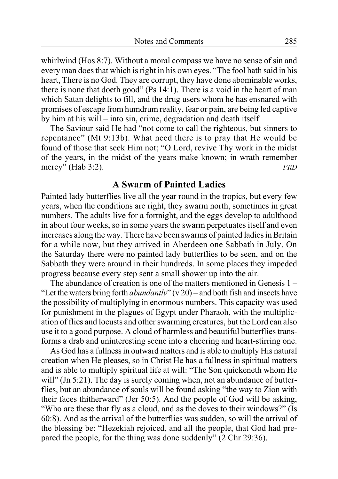whirlwind (Hos 8:7). Without a moral compass we have no sense of sin and every man does that which is right in his own eyes. "The fool hath said in his heart, There is no God. They are corrupt, they have done abominable works, there is none that doeth good" (Ps 14:1). There is a void in the heart of man which Satan delights to fill, and the drug users whom he has ensnared with promises of escape from humdrum reality, fear or pain, are being led captive by him at his will – into sin, crime, degradation and death itself.

The Saviour said He had "not come to call the righteous, but sinners to repentance" (Mt 9:13b). What need there is to pray that He would be found of those that seek Him not; "O Lord, revive Thy work in the midst of the years, in the midst of the years make known; in wrath remember mercy" (Hab 3:2). *FRD*

## **A Swarm of Painted Ladies**

Painted lady butterflies live all the year round in the tropics, but every few years, when the conditions are right, they swarm north, sometimes in great numbers. The adults live for a fortnight, and the eggs develop to adulthood in about four weeks, so in some years the swarm perpetuates itself and even increases along the way. There have been swarms of painted ladies in Britain for a while now, but they arrived in Aberdeen one Sabbath in July. On the Saturday there were no painted lady butterflies to be seen, and on the Sabbath they were around in their hundreds. In some places they impeded progress because every step sent a small shower up into the air.

The abundance of creation is one of the matters mentioned in Genesis 1 – "Let the waters bring forth *abundantly*" (v 20) – and both fish and insects have the possibility of multiplying in enormous numbers. This capacity was used for punishment in the plagues of Egypt under Pharaoh, with the multiplication of flies and locusts and other swarming creatures, but the Lord can also use it to a good purpose. A cloud of harmless and beautiful butterflies transforms a drab and uninteresting scene into a cheering and heart-stirring one.

As God has a fullness in outward matters and is able to multiply His natural creation when He pleases, so in Christ He has a fullness in spiritual matters and is able to multiply spiritual life at will: "The Son quickeneth whom He will" (Jn 5:21). The day is surely coming when, not an abundance of butterflies, but an abundance of souls will be found asking "the way to Zion with their faces thitherward" (Jer 50:5). And the people of God will be asking, "Who are these that fly as a cloud, and as the doves to their windows?" (Is 60:8). And as the arrival of the butterflies was sudden, so will the arrival of the blessing be: "Hezekiah rejoiced, and all the people, that God had prepared the people, for the thing was done suddenly" (2 Chr 29:36).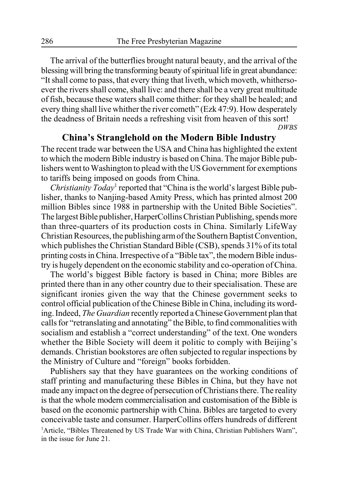The arrival of the butterflies brought natural beauty, and the arrival of the blessing will bring the transforming beauty of spiritual life in great abundance: "It shall come to pass, that every thing that liveth, which moveth, whithersoever the rivers shall come, shall live: and there shall be a very great multitude of fish, because these waters shall come thither: for they shall be healed; and every thing shall live whither the river cometh" (Ezk 47:9). How desperately the deadness of Britain needs a refreshing visit from heaven of this sort! *DWBS*

## **China's Stranglehold on the Modern Bible Industry**

The recent trade war between the USA and China has highlighted the extent to which the modern Bible industry is based on China. The major Bible publishers went to Washington to plead with the US Government for exemptions to tariffs being imposed on goods from China.

Christianity Today<sup>1</sup> reported that "China is the world's largest Bible publisher, thanks to Nanjing-based Amity Press, which has printed almost 200 million Bibles since 1988 in partnership with the United Bible Societies". The largest Bible publisher, HarperCollins Christian Publishing, spends more than three-quarters of its production costs in China. Similarly LifeWay Christian Resources, the publishing arm of the Southern Baptist Convention, which publishes the Christian Standard Bible (CSB), spends 31% of its total printing costs in China. Irrespective of a "Bible tax", the modern Bible industry is hugely dependent on the economic stability and co-operation of China.

The world's biggest Bible factory is based in China; more Bibles are printed there than in any other country due to their specialisation. These are significant ironies given the way that the Chinese government seeks to control official publication of the Chinese Bible in China, including its wording. Indeed, *The Guardian* recently reported a Chinese Government plan that calls for "retranslating and annotating" the Bible, to find commonalities with socialism and establish a "correct understanding" of the text. One wonders whether the Bible Society will deem it politic to comply with Beijing's demands. Christian bookstores are often subjected to regular inspections by the Ministry of Culture and "foreign" books forbidden.

Publishers say that they have guarantees on the working conditions of staff printing and manufacturing these Bibles in China, but they have not made any impact on the degree of persecution of Christians there. The reality is that the whole modern commercialisation and customisation of the Bible is based on the economic partnership with China. Bibles are targeted to every conceivable taste and consumer. HarperCollins offers hundreds of different <sup>1</sup>Article, "Bibles Threatened by US Trade War with China, Christian Publishers Warn", in the issue for June 21.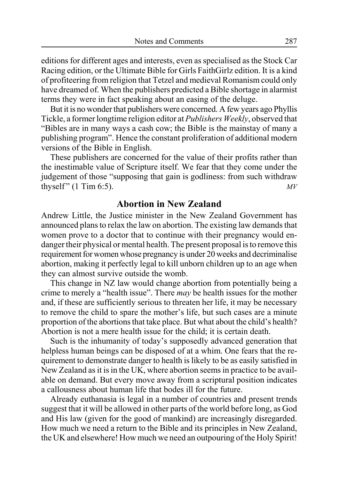editions for different ages and interests, even as specialised as the Stock Car Racing edition, or the Ultimate Bible for Girls FaithGirlz edition. It is a kind of profiteering from religion that Tetzel and medieval Romanism could only have dreamed of. When the publishers predicted a Bible shortage in alarmist terms they were in fact speaking about an easing of the deluge.

But it is no wonder that publishers were concerned. A few years ago Phyllis Tickle, a former longtime religion editor at *Publishers Weekly*, observed that "Bibles are in many ways a cash cow; the Bible is the mainstay of many a publishing program". Hence the constant proliferation of additional modern versions of the Bible in English.

These publishers are concerned for the value of their profits rather than the inestimable value of Scripture itself. We fear that they come under the judgement of those "supposing that gain is godliness: from such withdraw thyself"  $(1 \text{ Tim } 6.5)$ .

## **Abortion in New Zealand**

Andrew Little, the Justice minister in the New Zealand Government has announced plans to relax the law on abortion. The existing law demands that women prove to a doctor that to continue with their pregnancy would endanger their physical or mental health. The present proposal is to remove this requirement for women whose pregnancy is under 20 weeks and decriminalise abortion, making it perfectly legal to kill unborn children up to an age when they can almost survive outside the womb.

This change in NZ law would change abortion from potentially being a crime to merely a "health issue". There *may* be health issues for the mother and, if these are sufficiently serious to threaten her life, it may be necessary to remove the child to spare the mother's life, but such cases are a minute proportion of the abortions that take place. But what about the child's health? Abortion is not a mere health issue for the child; it is certain death.

Such is the inhumanity of today's supposedly advanced generation that helpless human beings can be disposed of at a whim. One fears that the requirement to demonstrate danger to health is likely to be as easily satisfied in New Zealand as it is in the UK, where abortion seems in practice to be available on demand. But every move away from a scriptural position indicates a callousness about human life that bodes ill for the future.

Already euthanasia is legal in a number of countries and present trends suggest that it will be allowed in other parts of the world before long, as God and His law (given for the good of mankind) are increasingly disregarded. How much we need a return to the Bible and its principles in New Zealand, the UK and elsewhere! How much we need an outpouring of the Holy Spirit!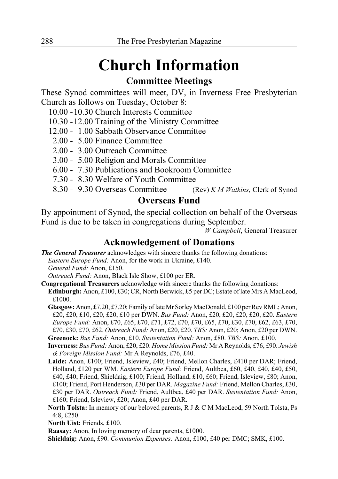# **Church Information**

## **Committee Meetings**

These Synod committees will meet, DV, in Inverness Free Presbyterian Church as follows on Tuesday, October 8:

- 10.00 -10.30 Church Interests Committee
- 10.30 12.00 Training of the Ministry Committee
- 12.00 1.00 Sabbath Observance Committee
- 2.00 5.00 Finance Committee
- 2.00 3.00 Outreach Committee
- 3.00 5.00 Religion and Morals Committee
- 6.00 7.30 Publications and Bookroom Committee
- 7.30 8.30 Welfare of Youth Committee
- 8.30 9.30 Overseas Committee (Rev) *K M Watkins,* Clerk of Synod

## **Overseas Fund**

By appointment of Synod, the special collection on behalf of the Overseas Fund is due to be taken in congregations during September.

*W Campbell*, General Treasurer

## **Acknowledgement of Donations**

*The General Treasurer* acknowledges with sincere thanks the following donations: *Eastern Europe Fund:* Anon, for the work in Ukraine, £140. *General Fund:* Anon, £150.

*Outreach Fund:* Anon, Black Isle Show, £100 per ER.

- **Congregational Treasurers** acknowledge with sincere thanks the following donations: **Edinburgh:** Anon, £100, £30; CR, North Berwick, £5 per DC; Estate of late Mrs A MacLeod, £1000.
	- **Glasgow:** Anon, £7.20, £7.20; Family of late Mr Sorley MacDonald, £100 per Rev RML; Anon, £20, £20, £10, £20, £20, £10 per DWN. *Bus Fund:* Anon, £20, £20, £20, £20, £20. *Eastern Europe Fund:* Anon, £70, £65, £70, £71, £72, £70, £70, £65, £70, £30, £70, £62, £63, £70, £70, £30, £70, £62. *Outreach Fund:* Anon, £20, £20. *TBS:* Anon, £20; Anon, £20 per DWN.

**Greenock:** *Bus Fund:* Anon, £10. *Sustentation Fund:* Anon, £80. *TBS:* Anon, £100.

- **Inverness:** *Bus Fund:* Anon, £20, £20. *Home Mission Fund:* Mr A Reynolds, £76, £90. *Jewish & Foreign Mission Fund:* Mr A Reynolds, £76, £40.
- **Laide:** Anon, £100; Friend, Isleview, £40; Friend, Mellon Charles, £410 per DAR; Friend, Holland, £120 per WM. *Eastern Europe Fund:* Friend, Aultbea, £60, £40, £40, £40, £50, £40, £40; Friend, Shieldaig, £100; Friend, Holland, £10, £60; Friend, Isleview, £80; Anon, £100; Friend, Port Henderson, £30 per DAR. *Magazine Fund:* Friend, Mellon Charles, £30, £30 per DAR. *Outreach Fund:* Friend, Aultbea, £40 per DAR. *Sustentation Fund:* Anon, £160; Friend, Isleview, £20; Anon, £40 per DAR.
- **North Tolsta:** In memory of our beloved parents, R J & C M MacLeod, 59 North Tolsta, Ps 4:8, £250.

**North Uist:** Friends, £100.

**Raasay:** Anon, In loving memory of dear parents, £1000.

**Shieldaig:** Anon, £90. *Communion Expenses:* Anon, £100, £40 per DMC; SMK, £100.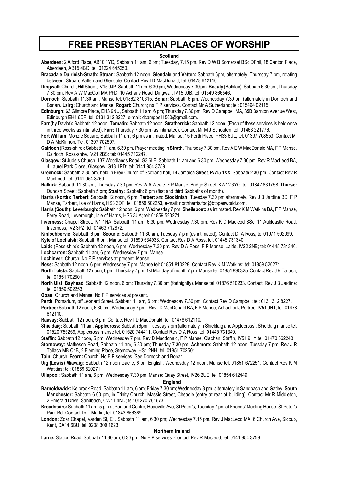## **FREE PRESBYTERIAN PLACES OF WORSHIP**

#### **Scotland**

**Aberdeen:** 2 Alford Place, AB10 1YD, Sabbath 11 am, 6 pm; Tuesday, 7.15 pm. Rev D W B Somerset BSc DPhil, 18 Carlton Place, Aberdeen, AB15 4BQ; tel: 01224 645250.

**Bracadale Duirinish-Strath: Struan:** Sabbath 12 noon. **Glendale** and **Vatten:** Sabbath 6pm, alternately. Thursday 7 pm, rotating between Struan, Vatten and Glendale. Contact Rev I D MacDonald; tel: 01478 612110.

**Dingwall:** Church, Hill Street, IV15 9JP: Sabbath 11 am, 6.30 pm; Wednesday 7.30 pm. **Beauly** (Balblair): Sabbath 6.30 pm, Thursday 7.30 pm. Rev A W MacColl MA PhD, 10 Achany Road, Dingwall, IV15 9JB; tel: 01349 866546.

**Dornoch:** Sabbath 11.30 am. Manse tel: 01862 810615. **Bonar:** Sabbath 6 pm. Wednesday 7.30 pm (alternately in Dornoch and Bonar). **Lairg:** Church and Manse; **Rogart:** Church; no F P services. Contact Mr A Sutherland; tel: 015494 02115.

**Edinburgh:** 63 Gilmore Place, EH3 9NU, Sabbath 11 am, 6 pm; Thursday 7.30 pm. Rev D Campbell MA, 35B Barnton Avenue West, Edinburgh EH4 6DF; tel: 0131 312 8227, e-mail: dcampbell1560@gmail.com.

**Farr** (by Daviot)**:** Sabbath 12 noon. **Tomatin:** Sabbath 12 noon. **Stratherrick:** Sabbath 12 noon. (Each of these services is held once in three weeks as intimated). **Farr:** Thursday 7.30 pm (as intimated). Contact Mr M J Schouten; tel: 01463 221776.

**Fort William:** Monzie Square, Sabbath 11 am, 6 pm as intimated. Manse: 15 Perth Place, PH33 6UL; tel: 01397 708553. Contact Mr D A McKinnon. Tel: 01397 702597.

**Gairloch** (Ross-shire): Sabbath 11 am, 6.30 pm. Prayer meeting in **Strath**, Thursday 7.30 pm. Rev A E W MacDonald MA, F P Manse, Gairloch, Ross-shire, IV21 2BS; tel: 01445 712247.

**Glasgow:** St Jude's Church, 137 Woodlands Road, G3 6LE. Sabbath 11 am and 6.30 pm; Wednesday 7.30 pm. Rev R MacLeod BA, 4 Laurel Park Close, Glasgow, G13 1RD; tel: 0141 954 3759.

**Greenock:** Sabbath 2.30 pm, held in Free Church of Scotland hall, 14 Jamaica Street, PA15 1XX. Sabbath 2.30 pm. Contact Rev R MacLeod; tel: 0141 954 3759.

**Halkirk:** Sabbath 11.30 am; Thursday 7.30 pm. Rev W A Weale, F P Manse, Bridge Street, KW12 6YG; tel: 01847 831758. **Thurso:** Duncan Street; Sabbath 5 pm; **Strathy:** Sabbath: 6 pm (first and third Sabbaths of month).

**Harris (North): Tarbert:** Sabbath 12 noon, 6 pm. **Tarbert** and **Stockinish:** Tuesday 7.30 pm alternately. Rev J B Jardine BD, F P Manse, Tarbert, Isle of Harris, HS3 3DF; tel: 01859 502253, e-mail: northharris.fpc@btopenworld.com.

**Harris (South): Leverburgh:** Sabbath 12 noon, 6 pm; Wednesday 7 pm. **Sheilebost:** as intimated. Rev K M Watkins BA, F P Manse, Ferry Road, Leverburgh, Isle of Harris, HS5 3UA; tel: 01859 520271.

**Inverness:** Chapel Street, IV1 1NA; Sabbath 11 am, 6.30 pm; Wednesday 7.30 pm. Rev K D Macleod BSc, 11 Auldcastle Road, Inverness, IV2 3PZ; tel: 01463 712872.

**Kinlochbervie:** Sabbath 6 pm; **Scourie:** Sabbath 11:30 am, Tuesday 7 pm (as intimated). Contact Dr A Ross; tel 01971 502099.

**Kyle of Lochalsh:** Sabbath 6 pm. Manse tel: 01599 534933. Contact Rev D A Ross; tel: 01445 731340.

**Laide** (Ross-shire): Sabbath 12 noon, 6 pm; Wednesday 7.30 pm. Rev D A Ross. F P Manse, Laide, IV22 2NB; tel: 01445 731340. **Lochcarron:** Sabbath 11 am, 6 pm; Wednesday 7 pm. Manse.

**Lochinver:** Church. No F P services at present. Manse.

**Ness:** Sabbath 12 noon, 6 pm; Wednesday 7 pm. Manse tel: 01851 810228. Contact Rev K M Watkins; tel: 01859 520271.

**North Tolsta:** Sabbath 12 noon, 6 pm; Thursday 7 pm; 1st Monday of month 7 pm. Manse tel: 01851 890325. Contact Rev J R Tallach; tel: 01851 702501.

**North Uist: Bayhead:** Sabbath 12 noon, 6 pm; Thursday 7.30 pm (fortnightly). Manse tel: 01876 510233. Contact: Rev J B Jardine; tel: 01859 502253.

**Oban:** Church and Manse. No F P services at present.

**Perth:** Pomarium, off Leonard Street. Sabbath 11 am, 6 pm; Wednesday 7.30 pm. Contact Rev D Campbell; tel: 0131 312 8227.

**Portree:** Sabbath 12 noon, 6.30 pm; Wednesday 7 pm.. Rev I D MacDonald BA, F P Manse, Achachork, Portree, IV51 9HT; tel: 01478 612110.

**Raasay:** Sabbath 12 noon, 6 pm. Contact Rev I D MacDonald; tel: 01478 612110.

**Shieldaig:** Sabbath 11 am; **Applecross:** Sabbath 6pm. Tuesday 7 pm (alternately in Shieldaig and Applecross). Shieldaig manse tel: 01520 755259, Applecross manse tel: 01520 744411. Contact Rev D A Ross; tel: 01445 731340.

**Staffin:** Sabbath 12 noon, 5 pm; Wednesday 7 pm. Rev D Macdonald, F P Manse, Clachan, Staffin, IV51 9HY tel: 01470 562243.

**Stornoway:** Matheson Road, Sabbath 11 am, 6.30 pm; Thursday 7.30 pm. **Achmore:** Sabbath 12 noon; Tuesday 7 pm. Rev J R Tallach MB ChB, 2 Fleming Place, Stornoway, HS1 2NH; tel: 01851 702501.

**Tain:** Church. **Fearn:** Church. No F P services. See Dornoch and Bonar.

**Uig (Lewis) Miavaig:** Sabbath 12 noon Gaelic, 6 pm English; Wednesday 12 noon. Manse tel: 01851 672251. Contact Rev K M Watkins; tel: 01859 520271.

**Ullapool:** Sabbath 11 am, 6 pm; Wednesday 7.30 pm. Manse: Quay Street, IV26 2UE; tel: 01854 612449.

#### **England**

**Barnoldswick:** Kelbrook Road, Sabbath 11 am, 6 pm; Friday 7.30 pm; Wednesday 8 pm, alternately in Sandbach and Gatley. **South Manchester:** Sabbath 6.00 pm, in Trinity Church, Massie Street, Cheadle (entry at rear of building). Contact Mr R Middleton, 2 Emerald Drive, Sandbach, CW11 4ND; tel: 01270 761673.

**Broadstairs:** Sabbath 11 am, 5 pm at Portland Centre, Hopeville Ave, St Peter's; Tuesday 7 pm at Friends' Meeting House, St Peter's Park Rd. Contact Dr T Martin; tel: 01843 866369**.**

**London:** Zoar Chapel, Varden St, E1. Sabbath 11 am, 6.30 pm; Wednesday 7.15 pm. Rev J MacLeod MA, 6 Church Ave, Sidcup, Kent, DA14 6BU; tel: 0208 309 1623.

#### **Northern Ireland**

**Larne:** Station Road. Sabbath 11.30 am, 6.30 pm. No F P services. Contact Rev R Macleod; tel: 0141 954 3759.